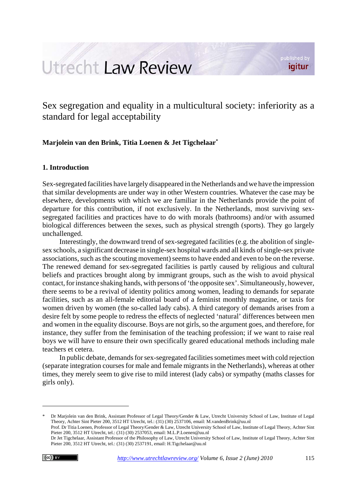# Utrecht Law Review

published by igitur

Sex segregation and equality in a multicultural society: inferiority as a standard for legal acceptability

# **Marjolein van den Brink, Titia Loenen & Jet Tigchelaar\***

# **1. Introduction**

Sex-segregated facilities have largely disappeared in the Netherlands and we have the impression that similar developments are under way in other Western countries. Whatever the case may be elsewhere, developments with which we are familiar in the Netherlands provide the point of departure for this contribution, if not exclusively. In the Netherlands, most surviving sexsegregated facilities and practices have to do with morals (bathrooms) and/or with assumed biological differences between the sexes, such as physical strength (sports). They go largely unchallenged.

Interestingly, the downward trend of sex-segregated facilities (e.g. the abolition of singlesex schools, a significant decrease in single-sex hospital wards and all kinds of single-sex private associations, such as the scouting movement) seems to have ended and even to be on the reverse. The renewed demand for sex-segregated facilities is partly caused by religious and cultural beliefs and practices brought along by immigrant groups, such as the wish to avoid physical contact, for instance shaking hands, with persons of 'the opposite sex'. Simultaneously, however, there seems to be a revival of identity politics among women, leading to demands for separate facilities, such as an all-female editorial board of a feminist monthly magazine, or taxis for women driven by women (the so-called lady cabs). A third category of demands arises from a desire felt by some people to redress the effects of neglected 'natural' differences between men and women in the equality discourse. Boys are not girls, so the argument goes, and therefore, for instance, they suffer from the feminisation of the teaching profession; if we want to raise real boys we will have to ensure their own specifically geared educational methods including male teachers et cetera.

In public debate, demands for sex-segregated facilities sometimes meet with cold rejection (separate integration courses for male and female migrants in the Netherlands), whereas at other times, they merely seem to give rise to mild interest (lady cabs) or sympathy (maths classes for girls only).

<sup>\*</sup> Dr Marjolein van den Brink, Assistant Professor of Legal Theory/Gender & Law, Utrecht University School of Law, Institute of Legal Theory, Achter Sint Pieter 200, 3512 HT Utrecht, tel.: (31) (30) 2537106, email: M.vandenBrink@uu.nl Prof. Dr Titia Loenen, Professor of Legal Theory/Gender & Law, Utrecht University School of Law, Institute of Legal Theory, Achter Sint

Pieter 200, 3512 HT Utrecht, tel.: (31) (30) 2537053, email: M.L.P.Loenen@uu.nl Dr Jet Tigchelaar, Assistant Professor of the Philosophy of Law, Utrecht University School of Law, Institute of Legal Theory, Achter Sint Pieter 200, 3512 HT Utrecht, tel.: (31) (30) 2537191, email: H.Tigchelaar@uu.nl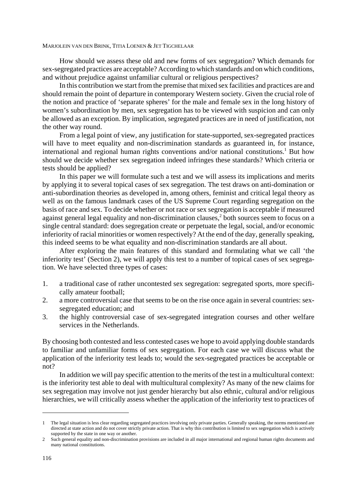How should we assess these old and new forms of sex segregation? Which demands for sex-segregated practices are acceptable? According to which standards and on which conditions, and without prejudice against unfamiliar cultural or religious perspectives?

In this contribution we start from the premise that mixed sex facilities and practices are and should remain the point of departure in contemporary Western society. Given the crucial role of the notion and practice of 'separate spheres' for the male and female sex in the long history of women's subordination by men, sex segregation has to be viewed with suspicion and can only be allowed as an exception. By implication, segregated practices are in need of justification, not the other way round.

From a legal point of view, any justification for state-supported, sex-segregated practices will have to meet equality and non-discrimination standards as guaranteed in, for instance, international and regional human rights conventions and/or national constitutions.<sup>1</sup> But how should we decide whether sex segregation indeed infringes these standards? Which criteria or tests should be applied?

In this paper we will formulate such a test and we will assess its implications and merits by applying it to several topical cases of sex segregation. The test draws on anti-domination or anti-subordination theories as developed in, among others, feminist and critical legal theory as well as on the famous landmark cases of the US Supreme Court regarding segregation on the basis of race and sex. To decide whether or not race or sex segregation is acceptable if measured against general legal equality and non-discrimination clauses,<sup>2</sup> both sources seem to focus on a single central standard: does segregation create or perpetuate the legal, social, and/or economic inferiority of racial minorities or women respectively? At the end of the day, generally speaking, this indeed seems to be what equality and non-discrimination standards are all about.

After exploring the main features of this standard and formulating what we call 'the inferiority test' (Section 2), we will apply this test to a number of topical cases of sex segregation. We have selected three types of cases:

- 1. a traditional case of rather uncontested sex segregation: segregated sports, more specifically amateur football;
- 2. a more controversial case that seems to be on the rise once again in several countries: sexsegregated education; and
- 3. the highly controversial case of sex-segregated integration courses and other welfare services in the Netherlands.

By choosing both contested and less contested cases we hope to avoid applying double standards to familiar and unfamiliar forms of sex segregation. For each case we will discuss what the application of the inferiority test leads to; would the sex-segregated practices be acceptable or not?

In addition we will pay specific attention to the merits of the test in a multicultural context: is the inferiority test able to deal with multicultural complexity? As many of the new claims for sex segregation may involve not just gender hierarchy but also ethnic, cultural and/or religious hierarchies, we will critically assess whether the application of the inferiority test to practices of

<sup>1</sup> The legal situation is less clear regarding segregated practices involving only private parties. Generally speaking, the norms mentioned are directed at state action and do not cover strictly private action. That is why this contribution is limited to sex segregation which is actively supported by the state in one way or another.

<sup>2</sup> Such general equality and non-discrimination provisions are included in all major international and regional human rights documents and many national constitutions.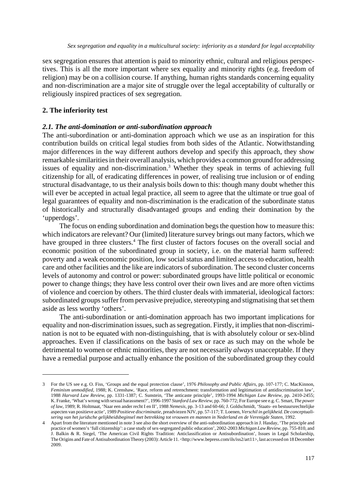sex segregation ensures that attention is paid to minority ethnic, cultural and religious perspectives. This is all the more important where sex equality and minority rights (e.g. freedom of religion) may be on a collision course. If anything, human rights standards concerning equality and non-discrimination are a major site of struggle over the legal acceptability of culturally or religiously inspired practices of sex segregation.

# **2. The inferiority test**

# *2.1. The anti-domination or anti-subordination approach*

The anti-subordination or anti-domination approach which we use as an inspiration for this contribution builds on critical legal studies from both sides of the Atlantic. Notwithstanding major differences in the way different authors develop and specify this approach, they show remarkable similarities in their overall analysis, which provides a common ground for addressing issues of equality and non-discrimination.<sup>3</sup> Whether they speak in terms of achieving full citizenship for all, of eradicating differences in power, of realising true inclusion or of ending structural disadvantage, to us their analysis boils down to this: though many doubt whether this will ever be accepted in actual legal practice, all seem to agree that the ultimate or true goal of legal guarantees of equality and non-discrimination is the eradication of the subordinate status of historically and structurally disadvantaged groups and ending their domination by the 'upperdogs'.

The focus on ending subordination and domination begs the question how to measure this: which indicators are relevant? Our (limited) literature survey brings out many factors, which we have grouped in three clusters.<sup>4</sup> The first cluster of factors focuses on the overall social and economic position of the subordinated group in society, i.e. on the material harm suffered: poverty and a weak economic position, low social status and limited access to education, health care and other facilities and the like are indicators of subordination. The second cluster concerns levels of autonomy and control or power: subordinated groups have little political or economic power to change things; they have less control over their own lives and are more often victims of violence and coercion by others. The third cluster deals with immaterial, ideological factors: subordinated groups suffer from pervasive prejudice, stereotyping and stigmatising that set them aside as less worthy 'others'.

The anti-subordination or anti-domination approach has two important implications for equality and non-discrimination issues, such as segregation. Firstly, it implies that non-discrimination is not to be equated with non-distinguishing, that is with absolutely colour or sex-blind approaches. Even if classifications on the basis of sex or race as such may on the whole be detrimental to women or ethnic minorities, they are not necessarily *always* unacceptable. If they have a remedial purpose and actually enhance the position of the subordinated group they could

<sup>3</sup> For the US see e.g. O. Fiss, 'Groups and the equal protection clause', 1976 *Philosophy and Public Affairs*, pp. 107-177; C. MacKinnon, *Feminism unmodified*, 1988; K. Crenshaw, 'Race, reform and retrenchment: transformation and legitimation of antidiscrimination law', 1988 *Harvard Law Review*, pp. 1331-1387; C. Sunstein, 'The anticaste principle', 1993-1994 *Michigan Law Review*, pp. 2410-2455; K. Franke, 'What's wrong with sexual harassment?', 1996-1997 *Stanford Law Review*, pp. 760-772; For Europe see e.g. C. Smart, *The power of law*, 1989; R. Holtmaat, 'Naar een ander recht I en II', 1988 *Nemesis*, pp. 3-13 and 60-66; J. Goldschmidt, 'Staats- en bestuursrechtelijke aspecten van positieve actie', 1989 *Positieve discriminatie*, preadviezen NJV, pp. 57-117; T. Loenen, *Verschil in gelijkheid. De conceptualisering van het juridsche gelijkheidsbeginsel met betrekking tot vrouwen en mannen in Nederland en de Verenigde Staten*, 1992.

<sup>4</sup> Apart from the literature mentioned in note 3 see also the short overview of the anti-subordination approach in J. Hasday, 'The principle and practice of women's 'full citizenship': a case study of sex-segregated public education', 2002-2003 *Michigan Law Review*, pp. 755-810, and J. Balkin & R. Siegel, 'The American Civil Rights Tradition: Anticlassification or Antisubordination', Issues in Legal Scholarship, The Origins and Fate of Antisubordination Theory (2003): Article 11. <http://www.bepress.com/ils/iss2/art11>, last accessed on 18 December 2009.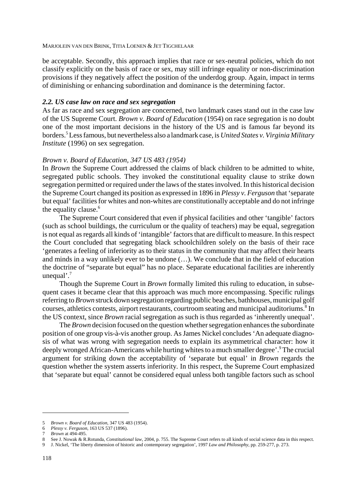be acceptable. Secondly, this approach implies that race or sex-neutral policies, which do not classify explicitly on the basis of race or sex, may still infringe equality or non-discrimination provisions if they negatively affect the position of the underdog group. Again, impact in terms of diminishing or enhancing subordination and dominance is the determining factor.

# *2.2. US case law on race and sex segregation*

As far as race and sex segregation are concerned, two landmark cases stand out in the case law of the US Supreme Court. *Brown v. Board of Education* (1954) on race segregation is no doubt one of the most important decisions in the history of the US and is famous far beyond its borders.5 Less famous, but nevertheless also a landmark case, is *United States v. Virginia Military Institute* (1996) on sex segregation.

# *Brown v. Board of Education, 347 US 483 (1954)*

In *Brown* the Supreme Court addressed the claims of black children to be admitted to white, segregated public schools. They invoked the constitutional equality clause to strike down segregation permitted or required under the laws of the states involved. In this historical decision the Supreme Court changed its position as expressed in 1896 in *Plessy v. Ferguson* that 'separate but equal' facilities for whites and non-whites are constitutionally acceptable and do not infringe the equality clause.<sup>6</sup>

The Supreme Court considered that even if physical facilities and other 'tangible' factors (such as school buildings, the curriculum or the quality of teachers) may be equal, segregation is not equal as regards all kinds of 'intangible' factors that are difficult to measure. In this respect the Court concluded that segregating black schoolchildren solely on the basis of their race 'generates a feeling of inferiority as to their status in the community that may affect their hearts and minds in a way unlikely ever to be undone (…). We conclude that in the field of education the doctrine of "separate but equal" has no place. Separate educational facilities are inherently unequal'.<sup>7</sup>

Though the Supreme Court in *Brown* formally limited this ruling to education, in subsequent cases it became clear that this approach was much more encompassing. Specific rulings referring to *Brown* struck down segregation regarding public beaches, bathhouses, municipal golf courses, athletics contests, airport restaurants, courtroom seating and municipal auditoriums.<sup>8</sup> In the US context, since *Brown* racial segregation as such is thus regarded as 'inherently unequal'.

The *Brown* decision focused on the question whether segregation enhances the subordinate position of one group vis-à-vis another group. As James Nickel concludes 'An adequate diagnosis of what was wrong with segregation needs to explain its asymmetrical character: how it deeply wronged African-Americans while hurting whites to a much smaller degree'.<sup>9</sup> The crucial argument for striking down the acceptability of 'separate but equal' in *Brown* regards the question whether the system asserts inferiority*.* In this respect, the Supreme Court emphasized that 'separate but equal' cannot be considered equal unless both tangible factors such as school

<sup>5</sup> *Brown v. Board of Education*, 347 US 483 (1954).

<sup>6</sup> *Plessy v. Ferguson*, 163 US 537 (1896).

<sup>7</sup> *Brown* at 494-495.

<sup>8</sup> See J. Nowak & R.Rotunda, *Constitutional law*, 2004, p. 755. The Supreme Court refers to all kinds of social science data in this respect.

<sup>9</sup> J. Nickel, 'The liberty dimension of historic and contemporary segregation', 1997 *Law and Philosophy*, pp. 259-277, p. 273.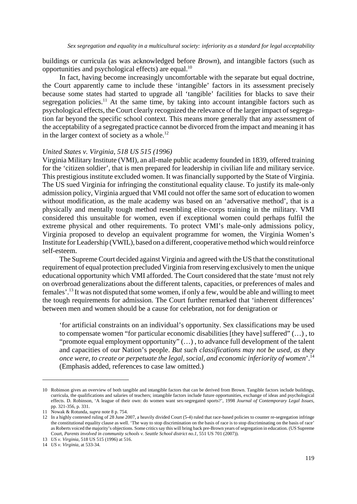buildings or curricula (as was acknowledged before *Brown*)*,* and intangible factors (such as opportunities and psychological effects) are equal.10

In fact, having become increasingly uncomfortable with the separate but equal doctrine, the Court apparently came to include these 'intangible' factors in its assessment precisely because some states had started to upgrade all 'tangible' facilities for blacks to save their segregation policies.<sup>11</sup> At the same time, by taking into account intangible factors such as psychological effects, the Court clearly recognized the relevance of the larger impact of segregation far beyond the specific school context. This means more generally that any assessment of the acceptability of a segregated practice cannot be divorced from the impact and meaning it has in the larger context of society as a whole. $^{12}$ 

## *United States v. Virginia, 518 US 515 (1996)*

Virginia Military Institute (VMI), an all-male public academy founded in 1839, offered training for the 'citizen soldier', that is men prepared for leadership in civilian life and military service. This prestigious institute excluded women. It was financially supported by the State of Virginia. The US sued Virginia for infringing the constitutional equality clause. To justify its male-only admission policy, Virginia argued that VMI could not offer the same sort of education to women without modification, as the male academy was based on an 'adversative method', that is a physically and mentally tough method resembling elite-corps training in the military. VMI considered this unsuitable for women, even if exceptional women could perhaps fulfil the extreme physical and other requirements. To protect VMI's male-only admissions policy, Virginia proposed to develop an equivalent programme for women, the Virginia Women's Institute for Leadership (VWIL), based on a different, cooperative method which would reinforce self-esteem.

The Supreme Court decided against Virginia and agreed with the US that the constitutional requirement of equal protection precluded Virginia from reserving exclusively to men the unique educational opportunity which VMI afforded. The Court considered that the state 'must not rely on overbroad generalizations about the different talents, capacities, or preferences of males and females'.13 It was not disputed that some women, if only a few, would be able and willing to meet the tough requirements for admission. The Court further remarked that 'inherent differences' between men and women should be a cause for celebration, not for denigration or

'for artificial constraints on an individual's opportunity. Sex classifications may be used to compensate women "for particular economic disabilities [they have] suffered" (…) , to "promote equal employment opportunity" (…) , to advance full development of the talent and capacities of our Nation's people. *But such classifications may not be used, as they once were, to create or perpetuate the legal, social, and economic inferiority of women*'.14 (Emphasis added, references to case law omitted.)

<sup>10</sup> Robinson gives an overview of both tangible and intangible factors that can be derived from Brown. Tangible factors include buildings, curricula, the qualifications and salaries of teachers; intangible factors include future opportunities, exchange of ideas and psychological effects. D. Robinson, 'A league of their own: do women want sex-segregated sports?', 1998 *Journal of Contemporary Legal Issues*, pp. 321-356, p. 331.

<sup>11</sup> Nowak & Rotunda, *supra* note 8 p. 754.

<sup>12</sup> In a highly contested ruling of 28 June 2007, a heavily divided Court (5-4) ruled that race-based policies to counter re-segregation infringe the constitutional equality clause as well. 'The way to stop discrimination on the basis of race is to stop discriminating on the basis of race' as Roberts voiced the majority's objections. Some critics say this will bring back pre-Brown years of segregation in education. (US Supreme Court, *Parents involved in community schools v. Seattle School district no.1*, 551 US 701 (2007)).

<sup>13</sup> *US v. Virginia*, 518 US 515 (1996) at 516.

<sup>14</sup> *US v. Virginia*, at 533-34.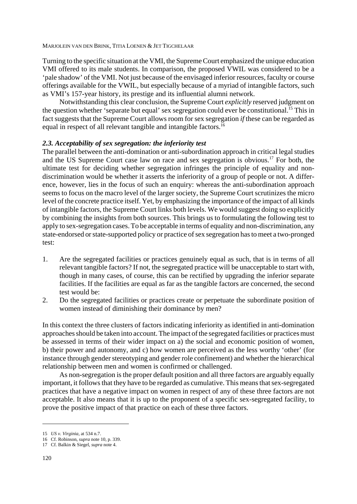Turning to the specific situation at the VMI, the Supreme Court emphasized the unique education VMI offered to its male students. In comparison, the proposed VWIL was considered to be a 'pale shadow' of the VMI. Not just because of the envisaged inferior resources, faculty or course offerings available for the VWIL, but especially because of a myriad of intangible factors, such as VMI's 157-year history, its prestige and its influential alumni network.

Notwithstanding this clear conclusion, the Supreme Court *explicitly* reserved judgment on the question whether 'separate but equal' sex segregation could ever be constitutional.<sup>15</sup> This in fact suggests that the Supreme Court allows room for sex segregation *if* these can be regarded as equal in respect of all relevant tangible and intangible factors.<sup>16</sup>

# *2.3. Acceptability of sex segregation: the inferiority test*

The parallel between the anti-domination or anti-subordination approach in critical legal studies and the US Supreme Court case law on race and sex segregation is obvious.17 For both, the ultimate test for deciding whether segregation infringes the principle of equality and nondiscrimination would be whether it asserts the inferiority of a group of people or not. A difference, however, lies in the focus of such an enquiry: whereas the anti-subordination approach seems to focus on the macro level of the larger society, the Supreme Court scrutinizes the micro level of the concrete practice itself. Yet, by emphasizing the importance of the impact of all kinds of intangible factors, the Supreme Court links both levels. We would suggest doing so explicitly by combining the insights from both sources. This brings us to formulating the following test to apply to sex-segregation cases. To be acceptable in terms of equality and non-discrimination, any state-endorsed or state-supported policy or practice of sex segregation has to meet a two-pronged test:

- 1. Are the segregated facilities or practices genuinely equal as such, that is in terms of all relevant tangible factors? If not, the segregated practice will be unacceptable to start with, though in many cases, of course, this can be rectified by upgrading the inferior separate facilities. If the facilities are equal as far as the tangible factors are concerned, the second test would be:
- 2. Do the segregated facilities or practices create or perpetuate the subordinate position of women instead of diminishing their dominance by men?

In this context the three clusters of factors indicating inferiority as identified in anti-domination approaches should be taken into account. The impact of the segregated facilities or practices must be assessed in terms of their wider impact on a) the social and economic position of women, b) their power and autonomy, and c) how women are perceived as the less worthy 'other' (for instance through gender stereotyping and gender role confinement) and whether the hierarchical relationship between men and women is confirmed or challenged.

As non-segregation is the proper default position and all three factors are arguably equally important, it follows that they have to be regarded as cumulative. This means that sex-segregated practices that have a negative impact on women in respect of any of these three factors are not acceptable. It also means that it is up to the proponent of a specific sex-segregated facility, to prove the positive impact of that practice on each of these three factors.

<sup>15</sup> *US v. Virginia*, at 534 n.7.

<sup>16</sup> Cf. Robinson, *supra* note 10, p. 339.

<sup>17</sup> Cf. Balkin & Siegel, *supra* note 4.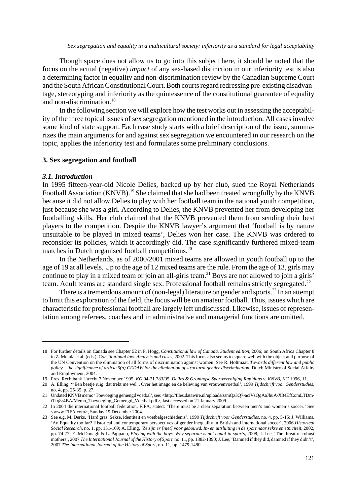Though space does not allow us to go into this subject here, it should be noted that the focus on the actual (negative) *impact* of any sex-based distinction in our inferiority test is also a determining factor in equality and non-discrimination review by the Canadian Supreme Court and the South African Constitutional Court. Both courts regard redressing pre-existing disadvantage, stereotyping and inferiority as the quintessence of the constitutional guarantee of equality and non-discrimination.<sup>18</sup>

In the following section we will explore how the test works out in assessing the acceptability of the three topical issues of sex segregation mentioned in the introduction. All cases involve some kind of state support. Each case study starts with a brief description of the issue, summarizes the main arguments for and against sex segregation we encountered in our research on the topic, applies the inferiority test and formulates some preliminary conclusions.

# **3. Sex segregation and football**

#### *3.1. Introduction*

In 1995 fifteen-year-old Nicole Delies, backed up by her club, sued the Royal Netherlands Football Association (KNVB).<sup>19</sup> She claimed that she had been treated wrongfully by the KNVB because it did not allow Delies to play with her football team in the national youth competition, just because she was a girl. According to Delies, the KNVB prevented her from developing her footballing skills. Her club claimed that the KNVB prevented them from sending their best players to the competition. Despite the KNVB lawyer's argument that 'football is by nature unsuitable to be played in mixed teams', Delies won her case. The KNVB was ordered to reconsider its policies, which it accordingly did. The case significantly furthered mixed-team matches in Dutch organised football competitions.<sup>20</sup>

In the Netherlands, as of 2000/2001 mixed teams are allowed in youth football up to the age of 19 at all levels. Up to the age of 12 mixed teams are the rule. From the age of 13, girls may continue to play in a mixed team or join an all-girls team.<sup>21</sup> Boys are not allowed to join a girls' team. Adult teams are standard single sex. Professional football remains strictly segregated.<sup>22</sup>

There is a tremendous amount of (non-legal) literature on gender and sports.<sup>23</sup> In an attempt to limit this exploration of the field, the focus will be on amateur football. Thus, issues which are characteristic for professional football are largely left undiscussed. Likewise, issues of representation among referees, coaches and in administrative and managerial functions are omitted.

<sup>18</sup> For further details on Canada see Chapter 52 in P. Hogg, *Constitutional law of Canada. Student edition*, 2006; on South Africa Chapter 8 in Z. Motala et al. (eds.), *Constitutional law. Analysis and cases*, 2002. This focus also seems to square well with the object and purpose of the UN Convention on the elimination of all forms of discrimination against women. See R. Holtmaat, *Towards different law and public policy – the significance of article 5(a) CEDAW for the elimination of structural gender discrimination*, Dutch Ministry of Social Affairs and Employment, 2004.

<sup>19</sup> Pres. Rechtbank Utrecht 7 November 1995, *KG* 04-21.783/95, *Delies & Groningse Sportvereniging Rapiditas v. KNVB, KG* 1996, 11.

<sup>20</sup> A. Elling, '"Een beetje ruig, dat trekt me wel". Over het imago en de beleving van vrouwenvoetbal', 1999 *Tijdschrift voor Genderstudies*, no. 4, pp. 25-35, p. 27.

<sup>21</sup> Undated KNVB memo 'Toevoeging gemengd voetbal', see: <http://files.datawire.nl/uploads/zsmQz3Q7-aciVsQqAaJhuA/X34EfComLTDmtTfq8r4BA/Memo\_Toevoeging\_Gemengd\_Voetbal.pdf>, last accessed on 21 January 2009.

<sup>22</sup> In 2004 the international football federation, FIFA, stated: 'There must be a clear separation between men's and women's soccer.' See <www.FIFA.com>, Sunday 19 December 2004.

<sup>23</sup> See e.g. M. Derks, 'Hard gras. Sekse, identiteit en voetbalgeschiedenis', 1999 *Tijdschrift voor Genderstudies*, no. 4, pp. 5-15; J. Williams, 'An Equality too far? Historical and contemporary perspectives of gender inequality in British and international soccer', 2006 *Historical Social Research*, no. 1, pp. 151-169; A. Elling, *'Ze zijn er [niet] voor gebouwd. In- en uitsluiting in de sport naar sekse en etniciteit,* 2002, pp. 74-77; E. McDonagh & L. Pappano, *Playing with the boys. Why separate is not equal in sports*, 2008; J. Lee, 'The threat of robust mothers', 2007 *The International Journal of the History of Sport*, no. 11, pp. 1382-1390; J. Lee, 'Damned if they did, damned if they didn't', 2007 *The International Journal of the History of Sport*, no. 11, pp. 1479-1490.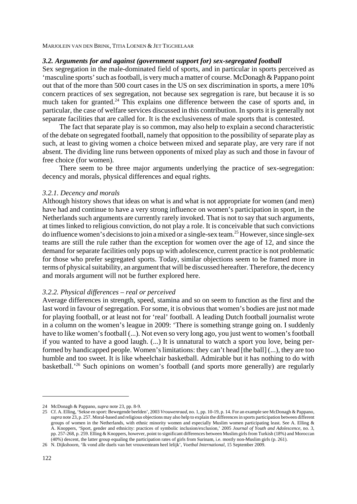# *3.2. Arguments for and against (government support for) sex-segregated football*

Sex segregation in the male-dominated field of sports, and in particular in sports perceived as 'masculine sports' such as football, is very much a matter of course. McDonagh & Pappano point out that of the more than 500 court cases in the US on sex discrimination in sports, a mere 10% concern practices of sex segregation, not because sex segregation is rare, but because it is so much taken for granted.<sup>24</sup> This explains one difference between the case of sports and, in particular, the case of welfare services discussed in this contribution. In sports it is generally not separate facilities that are called for. It is the exclusiveness of male sports that is contested.

The fact that separate play is so common, may also help to explain a second characteristic of the debate on segregated football, namely that opposition to the possibility of separate play as such, at least to giving women a choice between mixed and separate play, are very rare if not absent. The dividing line runs between opponents of mixed play as such and those in favour of free choice (for women).

There seem to be three major arguments underlying the practice of sex-segregation: decency and morals, physical differences and equal rights.

# *3.2.1. Decency and morals*

Although history shows that ideas on what is and what is not appropriate for women (and men) have had and continue to have a very strong influence on women's participation in sport, in the Netherlands such arguments are currently rarely invoked. That is not to say that such arguments, at times linked to religious conviction, do not play a role. It is conceivable that such convictions do influence women's decisions to join a mixed or a single-sex team.<sup>25</sup> However, since single-sex teams are still the rule rather than the exception for women over the age of 12, and since the demand for separate facilities only pops up with adolescence, current practice is not problematic for those who prefer segregated sports. Today, similar objections seem to be framed more in terms of physical suitability, an argument that will be discussed hereafter. Therefore, the decency and morals argument will not be further explored here.

## *3.2.2. Physical differences – real or perceived*

Average differences in strength, speed, stamina and so on seem to function as the first and the last word in favour of segregation. For some, it is obvious that women's bodies are just not made for playing football, or at least not for 'real' football. A leading Dutch football journalist wrote in a column on the women's league in 2009: 'There is something strange going on. I suddenly have to like women's football (...). Not even so very long ago, you just went to women's football if you wanted to have a good laugh. (...) It is unnatural to watch a sport you love, being performed by handicapped people. Women's limitations: they can't head [the ball] (...), they are too humble and too sweet. It is like wheelchair basketball. Admirable but it has nothing to do with basketball.<sup>26</sup> Such opinions on women's football (and sports more generally) are regularly

<sup>24</sup> McDonagh & Pappano, *supra* note 23, pp. 8-9.

<sup>25</sup> Cf. A. Elling, 'Sekse en sport: Bewegende beelden', 2003 *Vrouwenraad*, no. 1, pp. 10-19, p. 14. For an example see McDonagh & Pappano, *supra* note 23, p. 257. Moral-based and religious objections may also help to explain the differences in sports participation between different groups of women in the Netherlands, with ethnic minority women and especially Muslim women participating least. See A. Elling & A. Knoppers, 'Sport, gender and ethnicity: practices of symbolic inclusion/exclusion,' 2005 *Journal of Youth and Adolescence*, no. 3, pp. 257-268, p. 259. Elling & Knoppers, however, point to significant differences between Muslim girls from Turkish (18%) and Moroccan (40%) descent, the latter group equaling the participation rates of girls from Surinam, i.e. mostly non-Muslim girls (p. 261).

<sup>26</sup> N. Dijkshoorn, 'Ik vond alle duels van het vrouwenteam heel lelijk', *Voetbal International*, 15 September 2009.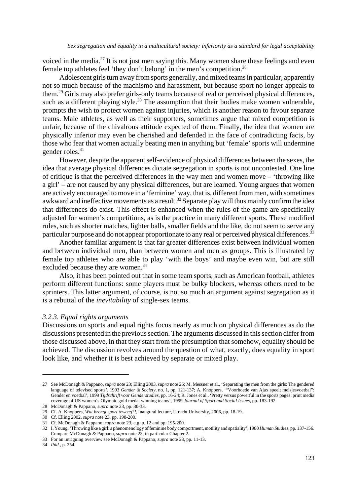voiced in the media.<sup>27</sup> It is not just men saying this. Many women share these feelings and even female top athletes feel 'they don't belong' in the men's competition.<sup>28</sup>

Adolescent girls turn away from sports generally, and mixed teams in particular, apparently not so much because of the machismo and harassment, but because sport no longer appeals to them.29 Girls may also prefer girls-only teams because of real or perceived physical differences, such as a different playing style.<sup>30</sup> The assumption that their bodies make women vulnerable, prompts the wish to protect women against injuries, which is another reason to favour separate teams. Male athletes, as well as their supporters, sometimes argue that mixed competition is unfair, because of the chivalrous attitude expected of them. Finally, the idea that women are physically inferior may even be cherished and defended in the face of contradicting facts, by those who fear that women actually beating men in anything but 'female' sports will undermine gender roles.<sup>31</sup>

However, despite the apparent self-evidence of physical differences between the sexes, the idea that average physical differences dictate segregation in sports is not uncontested. One line of critique is that the perceived differences in the way men and women move – 'throwing like a girl' – are not caused by any physical differences, but are learned. Young argues that women are actively encouraged to move in a 'feminine' way, that is, different from men, with sometimes awkward and ineffective movements as a result.<sup>32</sup> Separate play will thus mainly confirm the idea that differences do exist. This effect is enhanced when the rules of the game are specifically adjusted for women's competitions, as is the practice in many different sports. These modified rules, such as shorter matches, lighter balls, smaller fields and the like, do not seem to serve any particular purpose and do not appear proportionate to any real or perceived physical differences.<sup>33</sup>

Another familiar argument is that far greater differences exist between individual women and between individual men, than between women and men as groups. This is illustrated by female top athletes who are able to play 'with the boys' and maybe even win, but are still excluded because they are women.<sup>34</sup>

Also, it has been pointed out that in some team sports, such as American football, athletes perform different functions: some players must be bulky blockers, whereas others need to be sprinters. This latter argument, of course, is not so much an argument against segregation as it is a rebuttal of the *inevitability* of single-sex teams.

## *3.2.3. Equal rights arguments*

Discussions on sports and equal rights focus nearly as much on physical differences as do the discussions presented in the previous section. The arguments discussed in this section differ from those discussed above, in that they start from the presumption that somehow, equality should be achieved. The discussion revolves around the question of what, exactly, does equality in sport look like, and whether it is best achieved by separate or mixed play.

<sup>27</sup> See McDonagh & Pappano, *supra* note 23; Elling 2003, *supra* note 25; M. Messner et al., 'Separating the men from the girls: The gendered language of televised sports', 1993 *Gender & Society*, no. 1, pp. 121-137; A. Knoppers, '"Voorhoede van Ajax speelt meisjesvoetbal": Gender en voetbal', 1999 *Tijdschrift voor Genderstudies*, pp. 16-24; R. Jones et al., 'Pretty versus powerful in the sports pages: print media coverage of US women's Olympic gold medal winning teams', 1999 *Journal of Sport and Social Issues*, pp. 183-192. 28 McDonagh & Pappano, *supra* note 23, pp. 30-33.

<sup>29</sup> Cf. A. Knoppers, *Wat brengt sport teweeg?!*, inaugural lecture, Utrecht University, 2006, pp. 18-19.

<sup>30</sup> Cf. Elling 2002, *supra* note 23, pp. 198-200.

<sup>31</sup> Cf. McDonagh & Pappano, *supra* note 23, e.g. p. 12 and pp. 195-200.

<sup>32</sup> I. Young, 'Throwing like a girl: a phenomenology of feminine body comportment, motility and spatiality', 1980 *Human Studies*, pp. 137-156. Compare McDonagh & Pappano, *supra* note 23, in particular Chapter 2.

<sup>33</sup> For an intriguing overview see McDonagh & Pappano, *supra* note 23, pp. 11-13.

<sup>34</sup> *Ibid.*, p. 254.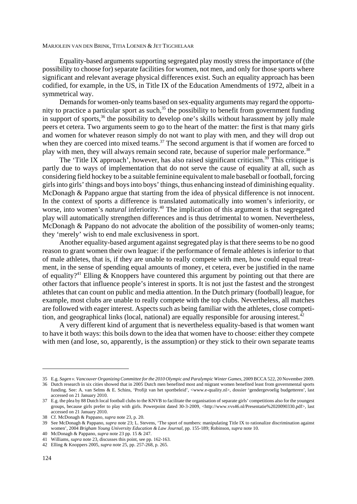Equality-based arguments supporting segregated play mostly stress the importance of (the possibility to choose for) separate facilities for women, not men, and only for those sports where significant and relevant average physical differences exist. Such an equality approach has been codified, for example, in the US, in Title IX of the Education Amendments of 1972, albeit in a symmetrical way.

Demands for women-only teams based on sex-equality arguments may regard the opportunity to practice a particular sport as such,<sup>35</sup> the possibility to benefit from government funding in support of sports, $36$  the possibility to develop one's skills without harassment by jolly male peers et cetera. Two arguments seem to go to the heart of the matter: the first is that many girls and women for whatever reason simply do not want to play with men, and they will drop out when they are coerced into mixed teams.<sup>37</sup> The second argument is that if women are forced to play with men, they will always remain second rate, because of superior male performance.<sup>38</sup>

The 'Title IX approach', however, has also raised significant criticism.<sup>39</sup> This critique is partly due to ways of implementation that do not serve the cause of equality at all, such as considering field hockey to be a suitable feminine equivalent to male baseball or football, forcing girls into girls' things and boys into boys' things, thus enhancing instead of diminishing equality. McDonagh & Pappano argue that starting from the idea of physical difference is not innocent. In the context of sports a difference is translated automatically into women's inferiority, or worse, into women's *natural* inferiority.<sup>40</sup> The implication of this argument is that segregated play will automatically strengthen differences and is thus detrimental to women. Nevertheless, McDonagh & Pappano do not advocate the abolition of the possibility of women-only teams; they 'merely' wish to end male exclusiveness in sport.

Another equality-based argument against segregated play is that there seems to be no good reason to grant women their own league: if the performance of female athletes is inferior to that of male athletes, that is, if they are unable to really compete with men, how could equal treatment, in the sense of spending equal amounts of money, et cetera, ever be justified in the name of equality?<sup>41</sup> Elling & Knoppers have countered this argument by pointing out that there are other factors that influence people's interest in sports. It is not just the fastest and the strongest athletes that can count on public and media attention. In the Dutch primary (football) league, for example, most clubs are unable to really compete with the top clubs. Nevertheless, all matches are followed with eager interest. Aspects such as being familiar with the athletes, close competition, and geographical links (local, national) are equally responsible for arousing interest.<sup>42</sup>

A very different kind of argument that is nevertheless equality-based is that women want to have it both ways: this boils down to the idea that women have to choose: either they compete with men (and lose, so, apparently, is the assumption) or they stick to their own separate teams

<sup>35</sup> E.g. *Sagen v. Vancouver Organizing Committee for the 2010 Olympic and Paralympic Winter Games*, 2009 BCCA 522, 20 November 2009.

<sup>36</sup> Dutch research in six cities showed that in 2005 Dutch men benefited most and migrant women benefited least from governmental sports funding. See: A. van Selms & E. Schins, 'Profijt van het sportbeleid', <www.e-quality.nl>, dossier 'gendergevoelig budgetteren', last accessed on 21 January 2010.

<sup>37</sup> E.g. the plea by 88 Dutch local football clubs to the KNVB to facilitate the organisation of separate girls' competitions also for the youngest groups, because girls prefer to play with girls. Powerpoint dated 30-3-2009, <http://www.vvs46.nl/Presentatie%2020090330.pdf>, last accessed on 21 January 2010.

<sup>38</sup> Cf. McDonagh & Pappano, *supra* note 23, p. 20.

<sup>39</sup> See McDonagh & Pappano, *supra* note 23; L. Stevens, 'The sport of numbers: manipulating Title IX to rationalize discrimination against women', 2004 *Brigham Young University Education & Law Journal*, pp. 155-189; Robinson, *supra* note 10.

<sup>40</sup> McDonagh & Pappano, *supra* note 23 pp. 15 & 247. 41 Williams, *supra* note 23, discusses this point, see pp. 162-163.

<sup>42</sup> Elling & Knoppers 2005, *supra* note 25, pp. 257-268, p. 265.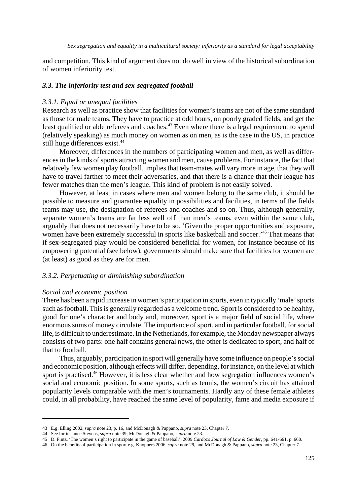and competition. This kind of argument does not do well in view of the historical subordination of women inferiority test.

## *3.3. The inferiority test and sex-segregated football*

#### *3.3.1. Equal or unequal facilities*

Research as well as practice show that facilities for women's teams are not of the same standard as those for male teams. They have to practice at odd hours, on poorly graded fields, and get the least qualified or able referees and coaches.<sup>43</sup> Even where there is a legal requirement to spend (relatively speaking) as much money on women as on men, as is the case in the US, in practice still huge differences exist.<sup>44</sup>

Moreover, differences in the numbers of participating women and men, as well as differences in the kinds of sports attracting women and men, cause problems. For instance, the fact that relatively few women play football, implies that team-mates will vary more in age, that they will have to travel farther to meet their adversaries, and that there is a chance that their league has fewer matches than the men's league. This kind of problem is not easily solved.

However, at least in cases where men and women belong to the same club, it should be possible to measure and guarantee equality in possibilities and facilities, in terms of the fields teams may use, the designation of referees and coaches and so on. Thus, although generally, separate women's teams are far less well off than men's teams, even within the same club, arguably that does not necessarily have to be so. 'Given the proper opportunities and exposure, women have been extremely successful in sports like basketball and soccer.<sup>45</sup> That means that if sex-segregated play would be considered beneficial for women, for instance because of its empowering potential (see below), governments should make sure that facilities for women are (at least) as good as they are for men.

# *3.3.2. Perpetuating or diminishing subordination*

### *Social and economic position*

There has been a rapid increase in women's participation in sports, even in typically 'male' sports such as football. This is generally regarded as a welcome trend. Sport is considered to be healthy, good for one's character and body and, moreover, sport is a major field of social life, where enormous sums of money circulate. The importance of sport, and in particular football, for social life, is difficult to underestimate. In the Netherlands, for example, the Monday newspaper always consists of two parts: one half contains general news, the other is dedicated to sport, and half of that to football.

Thus, arguably, participation in sport will generally have some influence on people's social and economic position, although effects will differ, depending, for instance, on the level at which sport is practised.<sup>46</sup> However, it is less clear whether and how segregation influences women's social and economic position. In some sports, such as tennis, the women's circuit has attained popularity levels comparable with the men's tournaments. Hardly any of these female athletes could, in all probability, have reached the same level of popularity, fame and media exposure if

<sup>43</sup> E.g. Elling 2002, *supra* note 23, p. 16, and McDonagh & Pappano, *supra* note 23, Chapter 7.

<sup>44</sup> See for instance Stevens, *supra* note 39; McDonagh & Pappano, *supra* note 23.

<sup>45</sup> D. Fintz, 'The women's right to participate in the game of baseball', 2009 *Cardozo Journal of Law & Gender*, pp. 641-661, p. 660.

<sup>46</sup> On the benefits of participation in sport e.g. Knoppers 2006, *supra* note 29, and McDonagh & Pappano, *supra* note 23, Chapter 7.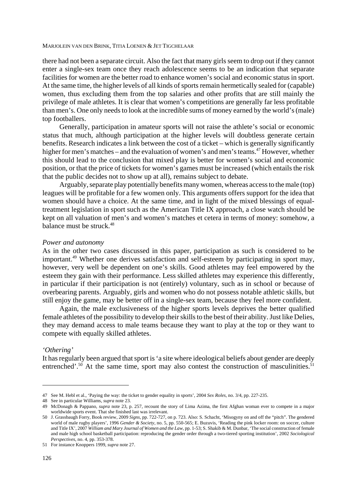there had not been a separate circuit. Also the fact that many girls seem to drop out if they cannot enter a single-sex team once they reach adolescence seems to be an indication that separate facilities for women are the better road to enhance women's social and economic status in sport. At the same time, the higher levels of all kinds of sports remain hermetically sealed for (capable) women, thus excluding them from the top salaries and other profits that are still mainly the privilege of male athletes. It is clear that women's competitions are generally far less profitable than men's. One only needs to look at the incredible sums of money earned by the world's (male) top footballers.

Generally, participation in amateur sports will not raise the athlete's social or economic status that much, although participation at the higher levels will doubtless generate certain benefits. Research indicates a link between the cost of a ticket – which is generally significantly higher for men's matches – and the evaluation of women's and men's teams.<sup>47</sup> However, whether this should lead to the conclusion that mixed play is better for women's social and economic position, or that the price of tickets for women's games must be increased (which entails the risk that the public decides not to show up at all), remains subject to debate.

Arguably, separate play potentially benefits many women, whereas access to the male (top) leagues will be profitable for a few women only. This arguments offers support for the idea that women should have a choice. At the same time, and in light of the mixed blessings of equaltreatment legislation in sport such as the American Title IX approach, a close watch should be kept on all valuation of men's and women's matches et cetera in terms of money: somehow, a balance must be struck.<sup>48</sup>

# *Power and autonomy*

As in the other two cases discussed in this paper, participation as such is considered to be important.<sup>49</sup> Whether one derives satisfaction and self-esteem by participating in sport may, however, very well be dependent on one's skills. Good athletes may feel empowered by the esteem they gain with their performance. Less skilled athletes may experience this differently, in particular if their participation is not (entirely) voluntary, such as in school or because of overbearing parents. Arguably, girls and women who do not possess notable athletic skills, but still enjoy the game, may be better off in a single-sex team, because they feel more confident.

Again, the male exclusiveness of the higher sports levels deprives the better qualified female athletes of the possibility to develop their skills to the best of their ability. Just like Delies, they may demand access to male teams because they want to play at the top or they want to compete with equally skilled athletes.

# *'Othering'*

It has regularly been argued that sport is 'a site where ideological beliefs about gender are deeply entrenched'.<sup>50</sup> At the same time, sport may also contest the construction of masculinities.<sup>51</sup>

<sup>47</sup> See M. Hebl et al., 'Paying the way: the ticket to gender equality in sports', 2004 *Sex Roles*, no. 3/4, pp. 227-235.

<sup>48</sup> See in particular Williams, *supra* note 23.

<sup>49</sup> McDonagh & Pappano, *supra* note 23, p. 257, recount the story of Lima Azima, the first Afghan woman ever to compete in a major worldwide sports event. That she finished last was irrelevant.

<sup>50</sup> J. Grassbaugh Forry, Book review, 2009 *Signs*, pp. 722-727, on p. 723. Also: S. Schacht, 'Misogyny on and off the "pitch". The gendered world of male rugby players', 1996 *Gender & Society*, no. 5, pp. 550-565; E. Buzuvis, 'Reading the pink locker room: on soccer, culture and Title IX', 2007 *William and Mary Journal of Women and the Law*, pp. 1-53; S. Shakib & M. Dunbar, 'The social construction of female and male high school basketball participation: reproducing the gender order through a two-tiered sporting institution', 2002 *Sociological Perspectives*, no. 4, pp. 353-378.

<sup>51</sup> For instance Knoppers 1999, *supra* note 27.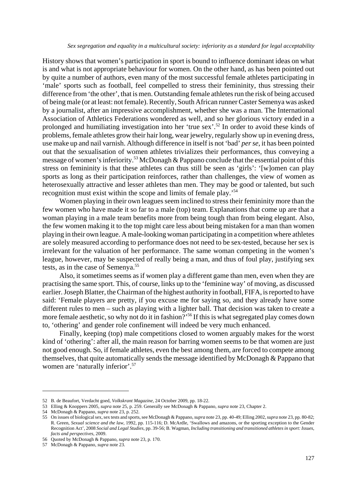History shows that women's participation in sport is bound to influence dominant ideas on what is and what is not appropriate behaviour for women. On the other hand, as has been pointed out by quite a number of authors, even many of the most successful female athletes participating in 'male' sports such as football, feel compelled to stress their femininity, thus stressing their difference from 'the other', that is men. Outstanding female athletes run the risk of being accused of being male (or at least: not female). Recently, South African runner Caster Semenya was asked by a journalist, after an impressive accomplishment, whether she was a man. The International Association of Athletics Federations wondered as well, and so her glorious victory ended in a prolonged and humiliating investigation into her 'true sex'.52 In order to avoid these kinds of problems, female athletes grow their hair long, wear jewelry, regularly show up in evening dress, use make up and nail varnish. Although difference in itself is not 'bad' *per se*, it has been pointed out that the sexualisation of women athletes trivializes their performances, thus conveying a message of women's inferiority.53 McDonagh & Pappano conclude that the essential point of this stress on femininity is that these athletes can thus still be seen as 'girls': '[w]omen can play sports as long as their participation reinforces, rather than challenges, the view of women as heterosexually attractive and lesser athletes than men. They may be good or talented, but such recognition must exist within the scope and limits of female play.'54

Women playing in their own leagues seem inclined to stress their femininity more than the few women who have made it so far to a male (top) team. Explanations that come up are that a woman playing in a male team benefits more from being tough than from being elegant. Also, the few women making it to the top might care less about being mistaken for a man than women playing in their own league. A male-looking woman participating in a competition where athletes are solely measured according to performance does not need to be sex-tested, because her sex is irrelevant for the valuation of her performance. The same woman competing in the women's league, however, may be suspected of really being a man, and thus of foul play, justifying sex tests, as in the case of Semenya.55

Also, it sometimes seems as if women play a different game than men, even when they are practising the same sport. This, of course, links up to the 'feminine way' of moving, as discussed earlier. Joseph Blatter, the Chairman of the highest authority in football, FIFA, is reported to have said: 'Female players are pretty, if you excuse me for saying so, and they already have some different rules to men – such as playing with a lighter ball. That decision was taken to create a more female aesthetic, so why not do it in fashion?<sup>56</sup> If this is what segregated play comes down to, 'othering' and gender role confinement will indeed be very much enhanced.

Finally, keeping (top) male competitions closed to women arguably makes for the worst kind of 'othering': after all, the main reason for barring women seems to be that women are just not good enough. So, if female athletes, even the best among them, are forced to compete among themselves, that quite automatically sends the message identified by McDonagh & Pappano that women are 'naturally inferior'.<sup>57</sup>

<sup>52</sup> B. de Beaufort, Verdacht goed, *Volkskrant Magazine*, 24 October 2009, pp. 18-22.

<sup>53</sup> Elling & Knoppers 2005, *supra* note 25, p. 259. Generally see McDonagh & Pappano, *supra* note 23, Chapter 2.

<sup>54</sup> McDonagh & Pappano, *supra* note 23, p. 252.

<sup>55</sup> On issues of biological sex, sex tests and sports, see McDonagh & Pappano, *supra* note 23, pp. 40-49; Elling 2002, *supra* note 23, pp. 80-82; R. Green, *Sexual science and the law*, 1992, pp. 115-116; D. McArdle, 'Swallows and amazons, or the sporting exception to the Gender Recognition Act', 2008 *Social and Legal Studies*, pp. 39-56; B. Wagman, *Including transitioning and transitioned athletes in sport: Issues, facts and perspectives,* 2009.

<sup>56</sup> Quoted by McDonagh & Pappano, *supra* note 23, p. 170.

<sup>57</sup> McDonagh & Pappano, *supra* note 23.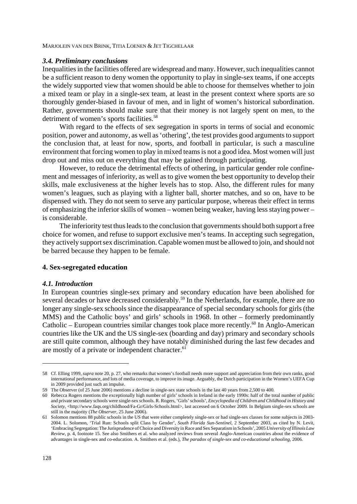## *3.4. Preliminary conclusions*

Inequalities in the facilities offered are widespread and many. However, such inequalities cannot be a sufficient reason to deny women the opportunity to play in single-sex teams, if one accepts the widely supported view that women should be able to choose for themselves whether to join a mixed team or play in a single-sex team, at least in the present context where sports are so thoroughly gender-biased in favour of men, and in light of women's historical subordination. Rather, governments should make sure that their money is not largely spent on men, to the detriment of women's sports facilities.<sup>58</sup>

With regard to the effects of sex segregation in sports in terms of social and economic position, power and autonomy, as well as 'othering', the test provides good arguments to support the conclusion that, at least for now, sports, and football in particular, is such a masculine environment that forcing women to play in mixed teams is not a good idea. Most women will just drop out and miss out on everything that may be gained through participating.

However, to reduce the detrimental effects of othering, in particular gender role confinement and messages of inferiority, as well as to give women the best opportunity to develop their skills, male exclusiveness at the higher levels has to stop. Also, the different rules for many women's leagues, such as playing with a lighter ball, shorter matches, and so on, have to be dispensed with. They do not seem to serve any particular purpose, whereas their effect in terms of emphasizing the inferior skills of women – women being weaker, having less staying power – is considerable.

The inferiority test thus leads to the conclusion that governments should both support a free choice for women, and refuse to support exclusive men's teams. In accepting such segregation, they actively support sex discrimination. Capable women must be allowed to join, and should not be barred because they happen to be female.

# **4. Sex-segregated education**

#### *4.1. Introduction*

In European countries single-sex primary and secondary education have been abolished for several decades or have decreased considerably.<sup>59</sup> In the Netherlands, for example, there are no longer any single-sex schools since the disappearance of special secondary schools for girls (the MMS) and the Catholic boys' and girls' schools in 1968. In other – formerly predominantly Catholic – European countries similar changes took place more recently.<sup>60</sup> In Anglo-American countries like the UK and the US single-sex (boarding and day) primary and secondary schools are still quite common, although they have notably diminished during the last few decades and are mostly of a private or independent character.<sup>61</sup>

<sup>58</sup> Cf. Elling 1999, *supra* note 20, p. 27, who remarks that women's football needs more support and appreciation from their own ranks, good international performance, and lots of media coverage, to improve its image. Arguably, the Dutch participation in the Women's UEFA Cup in 2009 provided just such an impulse.

<sup>59</sup> The Observer (of 25 June 2006) mentions a decline in single-sex state schools in the last 40 years from 2,500 to 400.

<sup>60</sup> Rebecca Rogers mentions the exceptionally high number of girls' schools in Ireland in the early 1990s: half of the total number of public and private secondary schools were single-sex schools. R. Rogers, 'Girls' schools', *Encyclopedia of Children and Childhood in History and Society*, <http://www.faqs.org/childhood/Fa-Gr/Girls-Schools.html>, last accessed on 6 October 2009. In Belgium single-sex schools are still in the majority (*The Observer*, 25 June 2006).

<sup>61</sup> Solomon mentions 88 public schools in the US that were either completely single-sex or had single-sex classes for some subjects in 2003- 2004. L. Solomon, 'Trial Run: Schools split Class by Gender', *South Florida Sun-Sentinel*, 2 September 2003, as cited by N. Levit, 'Embracing Segregation: The Jurisprudence of Choice and Diversity in Race and Sex Separatism in Schools', 2005 *University of Illinois Law Review*, p. 4, footnote 15. See also Smithers et al. who analyzed reviews from several Anglo-American countries about the evidence of advantages in single-sex and co-education. A. Smithers et al. (eds.), *The paradox of single-sex and co-educational schooling*, 2006.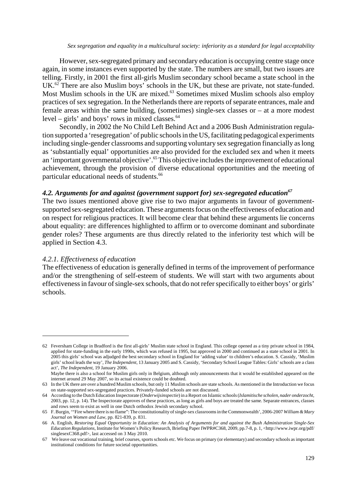However, sex-segregated primary and secondary education is occupying centre stage once again, in some instances even supported by the state. The numbers are small, but two issues are telling. Firstly, in 2001 the first all-girls Muslim secondary school became a state school in the UK.<sup>62</sup> There are also Muslim boys' schools in the UK, but these are private, not state-funded. Most Muslim schools in the UK are mixed.<sup>63</sup> Sometimes mixed Muslim schools also employ practices of sex segregation. In the Netherlands there are reports of separate entrances, male and female areas within the same building, (sometimes) single-sex classes or – at a more modest level – girls' and boys' rows in mixed classes. $64$ 

Secondly, in 2002 the No Child Left Behind Act and a 2006 Bush Administration regulation supported a 'resegregation' of public schools in the US, facilitating pedagogical experiments including single-gender classrooms and supporting voluntary sex segregation financially as long as 'substantially equal' opportunities are also provided for the excluded sex and when it meets an 'important governmental objective'.<sup>65</sup> This objective includes the improvement of educational achievement, through the provision of diverse educational opportunities and the meeting of particular educational needs of students.<sup>66</sup>

# 4.2. Arguments for and against (government support for) sex-segregated education<sup>67</sup>

The two issues mentioned above give rise to two major arguments in favour of governmentsupported sex-segregated education. These arguments focus on the effectiveness of education and on respect for religious practices. It will become clear that behind these arguments lie concerns about equality: are differences highlighted to affirm or to overcome dominant and subordinate gender roles? These arguments are thus directly related to the inferiority test which will be applied in Section 4.3.

# *4.2.1. Effectiveness of education*

The effectiveness of education is generally defined in terms of the improvement of performance and/or the strengthening of self-esteem of students. We will start with two arguments about effectiveness in favour of single-sex schools, that do not refer specifically to either boys' or girls' schools.

<sup>62</sup> Feversham College in Bradford is the first all-girls' Muslim state school in England. This college opened as a tiny private school in 1984, applied for state-funding in the early 1990s, which was refused in 1995, but approved in 2000 and continued as a state school in 2001. In 2005 this girls' school was adjudged the best secondary school in England for 'adding value' to children's education. S. Cassidy, 'Muslim girls' school leads the way', *The Independent*, 13 January 2005 and S. Cassidy, 'Secondary School League Tables: Girls' schools are a class act', *The Independent*, 19 January 2006.

Maybe there is also a school for Muslim girls only in Belgium, although only announcements that it would be established appeared on the internet around 29 May 2007, so its actual existence could be doubted.

<sup>63</sup> In the UK there are over a hundred Muslim schools, but only 11 Muslim schools are state schools. As mentioned in the Introduction we focus on state-supported sex-segregated practices. Privately-funded schools are not discussed.

<sup>64</sup> According to the Dutch Education Inspectorate (*Onderwijsinspectie*) in a Report on Islamic schools (*Islamitische scholen, nader onderzocht*, 2003, pp. 12, p. 14). The Inspectorate approves of these practices, as long as girls and boys are treated the same. Separate entrances, classes and rows seem to exist as well in one Dutch orthodox Jewish secondary school.

<sup>65</sup> F. Burgin, '"Fire where there is no flame": The constitutionality of single-sex classrooms in the Commonwealth', 2006-2007 *William & Mary Journal on Women and Law*, pp. 821-839, p. 831.

<sup>66</sup> A. English, *Restoring Equal Opportunity in Education: An Analysis of Arguments for and against the Bush Administration Single-Sex Education Regulations*, Institute for Women's Policy Research, Briefing Paper IWPR#C368, 2009, pp.7-8, p. 1, <http://www.iwpr.org/pdf/ singlesexC368.pdf>, last accessed on 3 May 2010.

<sup>67</sup> We leave out vocational training, brief courses, sports schools etc. We focus on primary (or elementary) and secondary schools as important institutional conditions for future societal opportunities.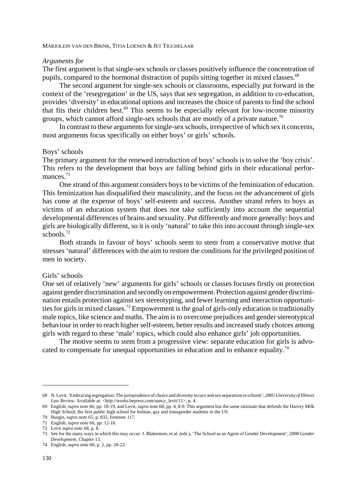#### *Arguments for*

The first argument is that single-sex schools or classes positively influence the concentration of pupils, compared to the hormonal distraction of pupils sitting together in mixed classes.<sup>68</sup>

The second argument for single-sex schools or classrooms, especially put forward in the context of the 'resegregation' in the US, says that sex segregation, in addition to co-education, provides 'diversity' in educational options and increases the choice of parents to find the school that fits their children best.69 This seems to be especially relevant for low-income minority groups, which cannot afford single-sex schools that are mostly of a private nature.<sup>70</sup>

In contrast to these arguments for single-sex schools, irrespective of which sex it concerns, most arguments focus specifically on either boys' or girls' schools.

## Boys' schools

The primary argument for the renewed introduction of boys' schools is to solve the 'boy crisis'. This refers to the development that boys are falling behind girls in their educational performances $1$ <sup>71</sup>

One strand of this argument considers boys to be victims of the feminization of education. This feminization has disqualified their masculinity, and the focus on the advancement of girls has come at the expense of boys' self-esteem and success. Another strand refers to boys as victims of an education system that does not take sufficiently into account the sequential developmental differences of brains and sexuality. Put differently and more generally: boys and girls are biologically different, so it is only 'natural' to take this into account through single-sex schools.<sup>72</sup>

Both strands in favour of boys' schools seem to stem from a conservative motive that stresses 'natural' differences with the aim to restore the conditions for the privileged position of men in society.

## Girls' schools

One set of relatively 'new' arguments for girls' schools or classes focuses firstly on protection against gender discrimination and secondly on empowerment. Protection against gender discrimination entails protection against sex stereotyping, and fewer learning and interaction opportunities for girls in mixed classes.73 Empowerment is the goal of girls-only education in traditionally male topics, like science and maths. The aim is to overcome prejudices and gender stereotypical behaviour in order to reach higher self-esteem, better results and increased study choices among girls with regard to these 'male' topics, which could also enhance girls' job opportunities.

The motive seems to stem from a progressive view: separate education for girls is advocated to compensate for unequal opportunities in education and to enhance equality.74

<sup>68</sup> N. Levit, 'Embracing segregation: The jurisprudence of choice and diversity in race and sex separatism in schools', 2005 *University of Illinois* Law Review. Available at: < http://works.bepress.com/nancy\_levit/11>, p. 4.

<sup>69</sup> English, *supra* note 66, pp. 18-19, and Levit, *supra* note 68, pp. 4, 8-9. This argument has the same rationale that defends the Harvey Milk High School, the first public high school for lesbian, gay and transgender students in the US.

<sup>70</sup> Burgin, *supra* note 65, p. 832, footnote 117.

<sup>71</sup> English, *supra* note 66, pp. 12-16.

<sup>72</sup> Levit *supra* note 68, p. 8.

<sup>73</sup> See for the many ways in which this may occur: J. Blakemore, et al. (eds.), 'The School as an Agent of Gender Development', 2008 *Gender Development*, Chapter 13.

<sup>74</sup> English, *supra* note 66, p. 2, pp. 20-22.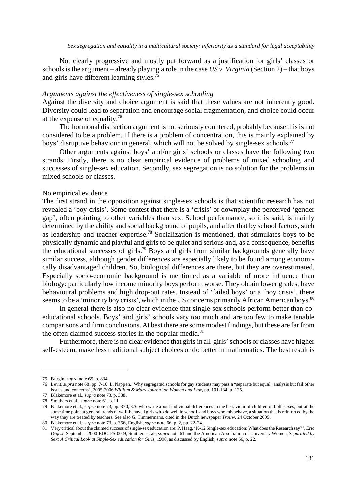Not clearly progressive and mostly put forward as a justification for girls' classes or schools is the argument – already playing a role in the case *US v. Virginia* (Section 2) – that boys and girls have different learning styles.<sup>75</sup>

# *Arguments against the effectiveness of single-sex schooling*

Against the diversity and choice argument is said that these values are not inherently good. Diversity could lead to separation and encourage social fragmentation, and choice could occur at the expense of equality.<sup>76</sup>

The hormonal distraction argument is not seriously countered, probably because this is not considered to be a problem. If there is a problem of concentration, this is mainly explained by boys' disruptive behaviour in general, which will not be solved by single-sex schools.<sup>77</sup>

Other arguments against boys' and/or girls' schools or classes have the following two strands. Firstly, there is no clear empirical evidence of problems of mixed schooling and successes of single-sex education. Secondly, sex segregation is no solution for the problems in mixed schools or classes.

# No empirical evidence

The first strand in the opposition against single-sex schools is that scientific research has not revealed a 'boy crisis'. Some contest that there is a 'crisis' or downplay the perceived 'gender gap', often pointing to other variables than sex. School performance, so it is said, is mainly determined by the ability and social background of pupils, and after that by school factors, such as leadership and teacher expertise.78 Socialization is mentioned, that stimulates boys to be physically dynamic and playful and girls to be quiet and serious and, as a consequence, benefits the educational successes of girls.79 Boys and girls from similar backgrounds generally have similar success, although gender differences are especially likely to be found among economically disadvantaged children. So, biological differences are there, but they are overestimated. Especially socio-economic background is mentioned as a variable of more influence than biology: particularly low income minority boys perform worse. They obtain lower grades, have behavioural problems and high drop-out rates. Instead of 'failed boys' or a 'boy crisis', there seems to be a 'minority boy crisis', which in the US concerns primarily African American boys.<sup>80</sup>

In general there is also no clear evidence that single-sex schools perform better than coeducational schools. Boys' and girls' schools vary too much and are too few to make tenable comparisons and firm conclusions. At best there are some modest findings, but these are far from the often claimed success stories in the popular media.<sup>81</sup>

Furthermore, there is no clear evidence that girls in all-girls' schools or classes have higher self-esteem, make less traditional subject choices or do better in mathematics. The best result is

<sup>75</sup> Burgin, *supra* note 65, p. 834.

<sup>76</sup> Levit, *supra* note 68, pp. 7-10; L. Nappen, 'Why segregated schools for gay students may pass a "separate but equal" analysis but fail other issues and concerns', 2005-2006 *William & Mary Journal on Women and Law*, pp. 101-134, p. 125.

<sup>77</sup> Blakemore et al., *supra* note 73, p. 388.

<sup>78</sup> Smithers et al., *supra* note 61, p. iii.

<sup>79</sup> Blakemore et al., *supra* note 73, pp. 370, 376 who write about individual differences in the behaviour of children of both sexes, but at the same time point at general trends of well-behaved girls who do well in school, and boys who misbehave, a situation that is reinforced by the way they are treated by teachers. See also G. Timmermans, cited in the Dutch newspaper *Trouw*, 24 October 2009.

<sup>80</sup> Blakemore et al., *supra* note 73, p. 366, English, *supra* note 66, p. 2, pp. 22-24.

<sup>81</sup> Very critical about the claimed success of single-sex education are: P. Haag, 'K-12 Single-sex education: What does the Research say?', *Eric Digest*, September 2000-EDO-PS-00-9; Smithers et al., *supra* note 61 and the American Association of University Women, *Separated by Sex: A Critical Look at Single-Sex education for Girls*, 1998, as discussed by English, *supra* note 66, p. 22.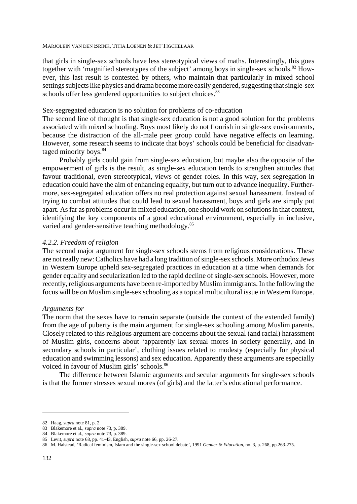that girls in single-sex schools have less stereotypical views of maths. Interestingly, this goes together with 'magnified stereotypes of the subject' among boys in single-sex schools.<sup>82</sup> However, this last result is contested by others, who maintain that particularly in mixed school settings subjects like physics and drama become more easily gendered, suggesting that single-sex schools offer less gendered opportunities to subject choices.<sup>83</sup>

# Sex-segregated education is no solution for problems of co-education

The second line of thought is that single-sex education is not a good solution for the problems associated with mixed schooling. Boys most likely do not flourish in single-sex environments, because the distraction of the all-male peer group could have negative effects on learning. However, some research seems to indicate that boys' schools could be beneficial for disadvantaged minority boys.<sup>84</sup>

Probably girls could gain from single-sex education, but maybe also the opposite of the empowerment of girls is the result, as single-sex education tends to strengthen attitudes that favour traditional, even stereotypical, views of gender roles. In this way, sex segregation in education could have the aim of enhancing equality, but turn out to advance inequality. Furthermore, sex-segregated education offers no real protection against sexual harassment. Instead of trying to combat attitudes that could lead to sexual harassment, boys and girls are simply put apart. As far as problems occur in mixed education, one should work on solutions in that context, identifying the key components of a good educational environment, especially in inclusive, varied and gender-sensitive teaching methodology.<sup>85</sup>

# *4.2.2. Freedom of religion*

The second major argument for single-sex schools stems from religious considerations. These are not really new: Catholics have had a long tradition of single-sex schools. More orthodox Jews in Western Europe upheld sex-segregated practices in education at a time when demands for gender equality and secularization led to the rapid decline of single-sex schools. However, more recently, religious arguments have been re-imported by Muslim immigrants. In the following the focus will be on Muslim single-sex schooling as a topical multicultural issue in Western Europe.

## *Arguments for*

The norm that the sexes have to remain separate (outside the context of the extended family) from the age of puberty is the main argument for single-sex schooling among Muslim parents. Closely related to this religious argument are concerns about the sexual (and racial) harassment of Muslim girls, concerns about 'apparently lax sexual mores in society generally, and in secondary schools in particular', clothing issues related to modesty (especially for physical education and swimming lessons) and sex education. Apparently these arguments are especially voiced in favour of Muslim girls' schools.<sup>86</sup>

The difference between Islamic arguments and secular arguments for single-sex schools is that the former stresses sexual mores (of girls) and the latter's educational performance.

<sup>82</sup> Haag, *supra* note 81, p. 2.

<sup>83</sup> Blakemore et al., *supra* note 73, p. 389.

<sup>84</sup> Blakemore et al., *supra* note 73, p. 389.

<sup>85</sup> Levit, *supra* note 68, pp. 41-43, English, *supra* note 66, pp. 26-27.

<sup>86</sup> M. Halstead, 'Radical feminism, Islam and the single-sex school debate', 1991 *Gender & Education*, no. 3, p. 268, pp.263-275.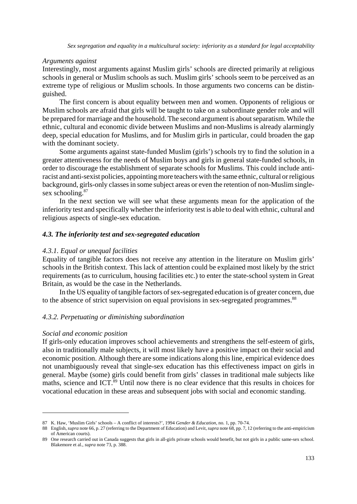## *Arguments against*

Interestingly, most arguments against Muslim girls' schools are directed primarily at religious schools in general or Muslim schools as such. Muslim girls' schools seem to be perceived as an extreme type of religious or Muslim schools. In those arguments two concerns can be distinguished.

The first concern is about equality between men and women. Opponents of religious or Muslim schools are afraid that girls will be taught to take on a subordinate gender role and will be prepared for marriage and the household. The second argument is about separatism. While the ethnic, cultural and economic divide between Muslims and non-Muslims is already alarmingly deep, special education for Muslims, and for Muslim girls in particular, could broaden the gap with the dominant society.

Some arguments against state-funded Muslim (girls') schools try to find the solution in a greater attentiveness for the needs of Muslim boys and girls in general state-funded schools, in order to discourage the establishment of separate schools for Muslims. This could include antiracist and anti-sexist policies, appointing more teachers with the same ethnic, cultural or religious background, girls-only classes in some subject areas or even the retention of non-Muslim singlesex schooling.<sup>87</sup>

In the next section we will see what these arguments mean for the application of the inferiority test and specifically whether the inferiority test is able to deal with ethnic, cultural and religious aspects of single-sex education.

# *4.3. The inferiority test and sex-segregated education*

# *4.3.1. Equal or unequal facilities*

Equality of tangible factors does not receive any attention in the literature on Muslim girls' schools in the British context. This lack of attention could be explained most likely by the strict requirements (as to curriculum, housing facilities etc.) to enter the state-school system in Great Britain, as would be the case in the Netherlands.

In the US equality of tangible factors of sex-segregated education is of greater concern, due to the absence of strict supervision on equal provisions in sex-segregated programmes.<sup>88</sup>

# *4.3.2. Perpetuating or diminishing subordination*

# *Social and economic position*

If girls-only education improves school achievements and strengthens the self-esteem of girls, also in traditionally male subjects, it will most likely have a positive impact on their social and economic position. Although there are some indications along this line, empirical evidence does not unambiguously reveal that single-sex education has this effectiveness impact on girls in general. Maybe (some) girls could benefit from girls' classes in traditional male subjects like maths, science and ICT.<sup>89</sup> Until now there is no clear evidence that this results in choices for vocational education in these areas and subsequent jobs with social and economic standing.

<sup>87</sup> K. Haw, 'Muslim Girls' schools – A conflict of interests?', 1994 *Gender & Education,* no. 1, pp. 70-74.

<sup>88</sup> English, *supra* note 66, p. 27 (referring to the Department of Education) and Levit, *supra* note 68, pp. 7, 12 (referring to the anti-empiricism of American courts).

<sup>89</sup> One research carried out in Canada suggests that girls in all-girls private schools would benefit, but not girls in a public same-sex school. Blakemore et al., *supra* note 73, p. 388.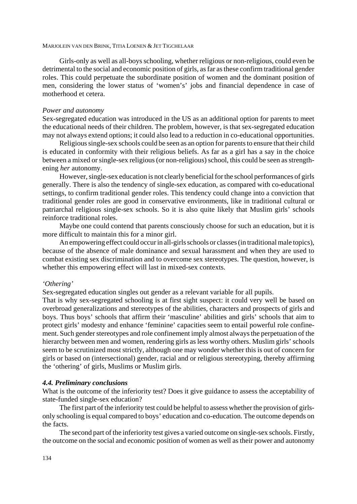Girls-only as well as all-boys schooling, whether religious or non-religious, could even be detrimental to the social and economic position of girls, as far as these confirm traditional gender roles. This could perpetuate the subordinate position of women and the dominant position of men, considering the lower status of 'women's' jobs and financial dependence in case of motherhood et cetera.

### *Power and autonomy*

Sex-segregated education was introduced in the US as an additional option for parents to meet the educational needs of their children. The problem, however, is that sex-segregated education may not always extend options; it could also lead to a reduction in co-educational opportunities.

Religious single-sex schools could be seen as an option for parents to ensure that their child is educated in conformity with their religious beliefs. As far as a girl has a say in the choice between a mixed or single-sex religious (or non-religious) school, this could be seen as strengthening *her* autonomy.

However, single-sex education is not clearly beneficial for the school performances of girls generally. There is also the tendency of single-sex education, as compared with co-educational settings, to confirm traditional gender roles. This tendency could change into a conviction that traditional gender roles are good in conservative environments, like in traditional cultural or patriarchal religious single-sex schools. So it is also quite likely that Muslim girls' schools reinforce traditional roles.

Maybe one could contend that parents consciously choose for such an education, but it is more difficult to maintain this for a minor girl.

An empowering effect could occur in all-girls schools or classes (in traditional male topics), because of the absence of male dominance and sexual harassment and when they are used to combat existing sex discrimination and to overcome sex stereotypes. The question, however, is whether this empowering effect will last in mixed-sex contexts.

## *'Othering'*

Sex-segregated education singles out gender as a relevant variable for all pupils.

That is why sex-segregated schooling is at first sight suspect: it could very well be based on overbroad generalizations and stereotypes of the abilities, characters and prospects of girls and boys. Thus boys' schools that affirm their 'masculine' abilities and girls' schools that aim to protect girls' modesty and enhance 'feminine' capacities seem to entail powerful role confinement. Such gender stereotypes and role confinement imply almost always the perpetuation of the hierarchy between men and women, rendering girls as less worthy others. Muslim girls' schools seem to be scrutinized most strictly, although one may wonder whether this is out of concern for girls or based on (intersectional) gender, racial and or religious stereotyping, thereby affirming the 'othering' of girls, Muslims or Muslim girls.

## *4.4. Preliminary conclusions*

What is the outcome of the inferiority test? Does it give guidance to assess the acceptability of state-funded single-sex education?

The first part of the inferiority test could be helpful to assess whether the provision of girlsonly schooling is equal compared to boys' education and co-education. The outcome depends on the facts.

The second part of the inferiority test gives a varied outcome on single-sex schools. Firstly, the outcome on the social and economic position of women as well as their power and autonomy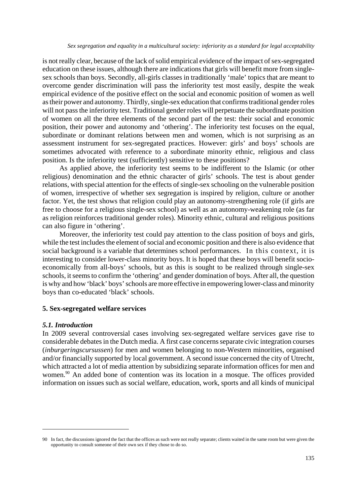is not really clear, because of the lack of solid empirical evidence of the impact of sex-segregated education on these issues, although there are indications that girls will benefit more from singlesex schools than boys. Secondly, all-girls classes in traditionally 'male' topics that are meant to overcome gender discrimination will pass the inferiority test most easily, despite the weak empirical evidence of the positive effect on the social and economic position of women as well as their power and autonomy. Thirdly, single-sex education that confirms traditional gender roles will not pass the inferiority test. Traditional gender roles will perpetuate the subordinate position of women on all the three elements of the second part of the test: their social and economic position, their power and autonomy and 'othering'. The inferiority test focuses on the equal, subordinate or dominant relations between men and women, which is not surprising as an assessment instrument for sex-segregated practices. However: girls' and boys' schools are sometimes advocated with reference to a subordinate minority ethnic, religious and class position. Is the inferiority test (sufficiently) sensitive to these positions?

As applied above, the inferiority test seems to be indifferent to the Islamic (or other religious) denomination and the ethnic character of girls' schools. The test is about gender relations, with special attention for the effects of single-sex schooling on the vulnerable position of women, irrespective of whether sex segregation is inspired by religion, culture or another factor. Yet, the test shows that religion could play an autonomy-strengthening role (if girls are free to choose for a religious single-sex school) as well as an autonomy-weakening role (as far as religion reinforces traditional gender roles). Minority ethnic, cultural and religious positions can also figure in 'othering'.

Moreover, the inferiority test could pay attention to the class position of boys and girls, while the test includes the element of social and economic position and there is also evidence that social background is a variable that determines school performances. In this context, it is interesting to consider lower-class minority boys. It is hoped that these boys will benefit socioeconomically from all-boys' schools, but as this is sought to be realized through single-sex schools, it seems to confirm the 'othering' and gender domination of boys. After all, the question is why and how 'black' boys' schools are more effective in empowering lower-class and minority boys than co-educated 'black' schools.

# **5. Sex-segregated welfare services**

# *5.1. Introduction*

In 2009 several controversial cases involving sex-segregated welfare services gave rise to considerable debates in the Dutch media. A first case concerns separate civic integration courses (*inburgeringscursussen*) for men and women belonging to non-Western minorities, organised and/or financially supported by local government. A second issue concerned the city of Utrecht, which attracted a lot of media attention by subsidizing separate information offices for men and women.<sup>90</sup> An added bone of contention was its location in a mosque. The offices provided information on issues such as social welfare, education, work, sports and all kinds of municipal

<sup>90</sup> In fact, the discussions ignored the fact that the offices as such were not really separate; clients waited in the same room but were given the opportunity to consult someone of their own sex if they chose to do so.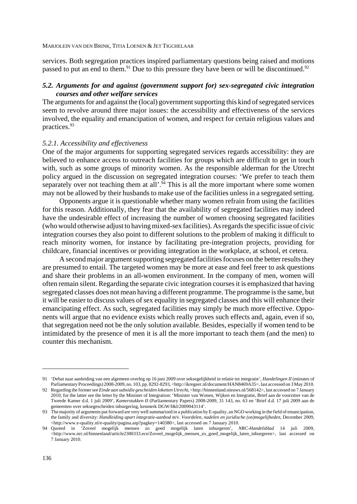services. Both segregation practices inspired parliamentary questions being raised and motions passed to put an end to them.<sup>91</sup> Due to this pressure they have been or will be discontinued.<sup>92</sup>

# *5.2. Arguments for and against (government support for) sex-segregated civic integration courses and other welfare services*

The arguments for and against the (local) government supporting this kind of segregated services seem to revolve around three major issues: the accessibility and effectiveness of the services involved, the equality and emancipation of women, and respect for certain religious values and practices.93

# *5.2.1. Accessibility and effectiveness*

One of the major arguments for supporting segregated services regards accessibility: they are believed to enhance access to outreach facilities for groups which are difficult to get in touch with, such as some groups of minority women. As the responsible alderman for the Utrecht policy argued in the discussion on segregated integration courses: 'We prefer to teach them separately over not teaching them at all'.<sup>94</sup> This is all the more important where some women may not be allowed by their husbands to make use of the facilities unless in a segregated setting.

Opponents argue it is questionable whether many women refrain from using the facilities for this reason. Additionally, they fear that the availability of segregated facilities may indeed have the undesirable effect of increasing the number of women choosing segregated facilities (who would otherwise adjust to having mixed-sex facilities). As regards the specific issue of civic integration courses they also point to different solutions to the problem of making it difficult to reach minority women, for instance by facilitating pre-integration projects, providing for childcare, financial incentives or providing integration in the workplace, at school, et cetera.

A second major argument supporting segregated facilities focuses on the better results they are presumed to entail. The targeted women may be more at ease and feel freer to ask questions and share their problems in an all-women environment. In the company of men, women will often remain silent. Regarding the separate civic integration courses it is emphasized that having segregated classes does not mean having a different programme. The programme is the same, but it will be easier to discuss values of sex equality in segregated classes and this will enhance their emancipating effect. As such, segregated facilities may simply be much more effective. Opponents will argue that no evidence exists which really proves such effects and, again, even if so, that segregation need not be the only solution available. Besides, especially if women tend to be intimidated by the presence of men it is all the more important to teach them (and the men) to counter this mechanism.

<sup>91 &#</sup>x27;Debat naar aanleiding van een algemeen overleg op 16 juni 2009 over seksegelijkheid in relatie tot integratie', *Handelingen II* (minutes of Parliamentary Proceedings) 2008-2009, no. 103, pp. 8292-8293, <http://ikregeer.nl/document/HAN8469A35>, last accessed on 3 May 2010.

<sup>92</sup> Regarding the former see *Einde aan subsidie gescheiden loketten Utrecht*, <http://binnenland.nieuws.nl/568142>, last accessed on 7 January 2010; for the latter see the letter by the Minister of Integration: 'Minister van Wonen, Wijken en Integratie, Brief aan de voorzitter van de Tweede Kamer d.d. 1 juli 2009', *Kamerstukken II* (Parliamentary Papers) 2008-2009, 31 143, no. 63 en 'Brief d.d. 17 juli 2009 aan de gemeenten over seksegescheiden inburgering, kenmerk DGW/I&I/2009043114'.

<sup>93</sup> The majority of arguments put forward are very well summarized in a publication by E-quality, an NGO working in the field of emancipation, the family and diversity: *Handleiding apart integratie-aanbod m/v. Voordelen, nadelen en juridische (on)mogelijheden*, December 2009, <http://www.e-quality.nl/e-quality/pagina.asp?pagkey=140380>, last accessed on 7 January 2010.

<sup>94</sup> Quoted in 'Zoveel mogelijk mensen zo goed mogelijk laten inburgeren', *NRC-Handelsblad* 14 juli 2009, <http://www.nrc.nl/binnenland/article2300333.ece/Zoveel\_mogelijk\_mensen\_zo\_goed\_mogelijk\_laten\_inburgeren>, last accessed on 7 January 2010.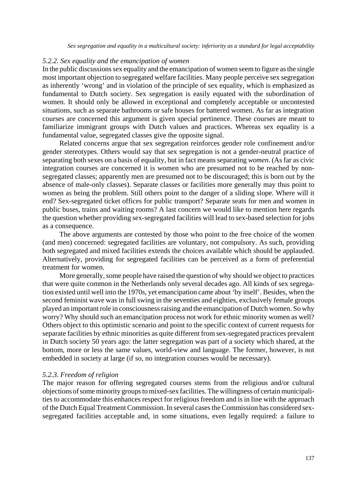## *5.2.2. Sex equality and the emancipation of women*

In the public discussions sex equality and the emancipation of women seem to figure as the single most important objection to segregated welfare facilities. Many people perceive sex segregation as inherently 'wrong' and in violation of the principle of sex equality, which is emphasized as fundamental to Dutch society. Sex segregation is easily equated with the subordination of women. It should only be allowed in exceptional and completely acceptable or uncontested situations, such as separate bathrooms or safe houses for battered women. As far as integration courses are concerned this argument is given special pertinence. These courses are meant to familiarize immigrant groups with Dutch values and practices. Whereas sex equality is a fundamental value, segregated classes give the opposite signal.

Related concerns argue that sex segregation reinforces gender role confinement and/or gender stereotypes. Others would say that sex segregation is not a gender-neutral practice of separating both sexes on a basis of equality, but in fact means separating *women*. (As far as civic integration courses are concerned it is women who are presumed not to be reached by nonsegregated classes; apparently men are presumed not to be discouraged; this is born out by the absence of male-only classes). Separate classes or facilities more generally may thus point to women as being the problem. Still others point to the danger of a sliding slope. Where will it end? Sex-segregated ticket offices for public transport? Separate seats for men and women in public buses, trains and waiting rooms? A last concern we would like to mention here regards the question whether providing sex-segregated facilities will lead to sex-based selection for jobs as a consequence.

The above arguments are contested by those who point to the free choice of the women (and men) concerned: segregated facilities are voluntary, not compulsory. As such, providing both segregated and mixed facilities extends the choices available which should be applauded. Alternatively, providing for segregated facilities can be perceived as a form of preferential treatment for women.

More generally, some people have raised the question of why should we object to practices that were quite common in the Netherlands only several decades ago. All kinds of sex segregation existed until well into the 1970s, yet emancipation came about 'by itself'. Besides, when the second feminist wave was in full swing in the seventies and eighties, exclusively female groups played an important role in consciousness raising and the emancipation of Dutch women. So why worry? Why should such an emancipation process not work for ethnic minority women as well? Others object to this optimistic scenario and point to the specific context of current requests for separate facilities by ethnic minorities as quite different from sex-segregated practices prevalent in Dutch society 50 years ago: the latter segregation was part of a society which shared, at the bottom, more or less the same values, world-view and language. The former, however, is not embedded in society at large (if so, no integration courses would be necessary).

## *5.2.3. Freedom of religion*

The major reason for offering segregated courses stems from the religious and/or cultural objections of some minority groups to mixed-sex facilities. The willingness of certain municipalities to accommodate this enhances respect for religious freedom and is in line with the approach of the Dutch Equal Treatment Commission. In several cases the Commission has considered sexsegregated facilities acceptable and, in some situations, even legally required: a failure to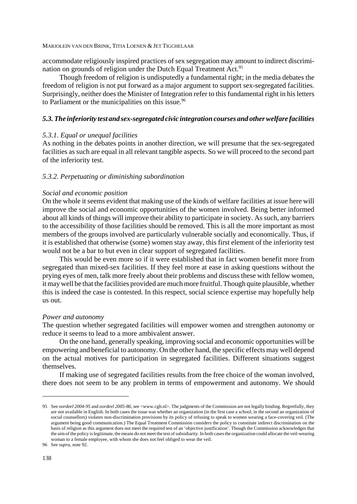accommodate religiously inspired practices of sex segregation may amount to indirect discrimination on grounds of religion under the Dutch Equal Treatment Act.<sup>95</sup>

Though freedom of religion is undisputedly a fundamental right; in the media debates the freedom of religion is not put forward as a major argument to support sex-segregated facilities. Surprisingly, neither does the Minister of Integration refer to this fundamental right in his letters to Parliament or the municipalities on this issue.<sup>96</sup>

# *5.3. The inferiority test and sex-segregated civic integration courses and other welfare facilities*

# *5.3.1. Equal or unequal facilities*

As nothing in the debates points in another direction, we will presume that the sex-segregated facilities as such are equal in all relevant tangible aspects. So we will proceed to the second part of the inferiority test.

# *5.3.2. Perpetuating or diminishing subordination*

# *Social and economic position*

On the whole it seems evident that making use of the kinds of welfare facilities at issue here will improve the social and economic opportunities of the women involved. Being better informed about all kinds of things will improve their ability to participate in society. As such, any barriers to the accessibility of those facilities should be removed. This is all the more important as most members of the groups involved are particularly vulnerable socially and economically. Thus, if it is established that otherwise (some) women stay away, this first element of the inferiority test would not be a bar to but even in clear support of segregated facilities.

This would be even more so if it were established that in fact women benefit more from segregated than mixed-sex facilities. If they feel more at ease in asking questions without the prying eyes of men, talk more freely about their problems and discuss these with fellow women, it may well be that the facilities provided are much more fruitful. Though quite plausible, whether this is indeed the case is contested. In this respect, social science expertise may hopefully help us out.

#### *Power and autonomy*

The question whether segregated facilities will empower women and strengthen autonomy or reduce it seems to lead to a more ambivalent answer.

On the one hand, generally speaking, improving social and economic opportunities will be empowering and beneficial to autonomy. On the other hand, the specific effects may well depend on the actual motives for participation in segregated facilities. Different situations suggest themselves.

If making use of segregated facilities results from the free choice of the woman involved, there does not seem to be any problem in terms of empowerment and autonomy. We should

<sup>95</sup> See *oordeel 2004-95* and *oordeel 2005-86*, see <www.cgb.nl>. The judgments of the Commission are not legally binding. Regretfully, they are not available in English. In both cases the issue was whether an organization (in the first case a school, in the second an organization of social counsellors) violates non-discrimination provisions by its policy of refusing to speak to women wearing a face-covering veil. (The argument being good communication.) The Equal Treatment Commission considers the policy to constitute indirect discrimination on the basis of religion as this argument does not meet the required test of an 'objective justification'. Though the Commission acknowledges that the aim of the policy is legitimate, the means do not meet the test of subsidiarity. In both cases the organization could allocate the veil-wearing woman to a female employee, with whom she does not feel obliged to wear the veil.

<sup>96</sup> See *supra*, note 92.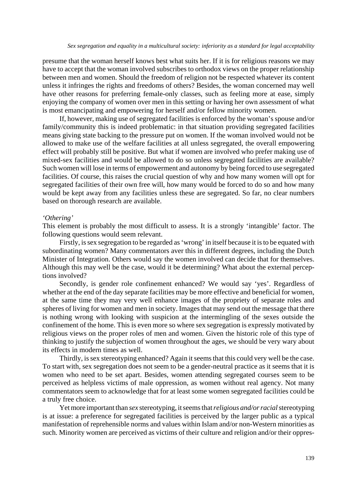presume that the woman herself knows best what suits her. If it is for religious reasons we may have to accept that the woman involved subscribes to orthodox views on the proper relationship between men and women. Should the freedom of religion not be respected whatever its content unless it infringes the rights and freedoms of others? Besides, the woman concerned may well have other reasons for preferring female-only classes, such as feeling more at ease, simply enjoying the company of women over men in this setting or having her own assessment of what is most emancipating and empowering for herself and/or fellow minority women.

If, however, making use of segregated facilities is enforced by the woman's spouse and/or family/community this is indeed problematic: in that situation providing segregated facilities means giving state backing to the pressure put on women. If the woman involved would not be allowed to make use of the welfare facilities at all unless segregated, the overall empowering effect will probably still be positive. But what if women are involved who prefer making use of mixed-sex facilities and would be allowed to do so unless segregated facilities are available? Such women will lose in terms of empowerment and autonomy by being forced to use segregated facilities. Of course, this raises the crucial question of why and how many women will opt for segregated facilities of their own free will, how many would be forced to do so and how many would be kept away from any facilities unless these are segregated. So far, no clear numbers based on thorough research are available.

#### *'Othering'*

This element is probably the most difficult to assess. It is a strongly 'intangible' factor. The following questions would seem relevant.

Firstly, is sex segregation to be regarded as 'wrong' in itself because it is to be equated with subordinating women? Many commentators aver this in different degrees, including the Dutch Minister of Integration. Others would say the women involved can decide that for themselves. Although this may well be the case, would it be determining? What about the external perceptions involved?

Secondly, is gender role confinement enhanced? We would say 'yes'. Regardless of whether at the end of the day separate facilities may be more effective and beneficial for women, at the same time they may very well enhance images of the propriety of separate roles and spheres of living for women and men in society. Images that may send out the message that there is nothing wrong with looking with suspicion at the intermingling of the sexes outside the confinement of the home. This is even more so where sex segregation is expressly motivated by religious views on the proper roles of men and women. Given the historic role of this type of thinking to justify the subjection of women throughout the ages, we should be very wary about its effects in modern times as well.

Thirdly, is sex stereotyping enhanced? Again it seems that this could very well be the case. To start with, sex segregation does not seem to be a gender-neutral practice as it seems that it is women who need to be set apart. Besides, women attending segregated courses seem to be perceived as helpless victims of male oppression, as women without real agency. Not many commentators seem to acknowledge that for at least some women segregated facilities could be a truly free choice.

Yet more important than *sex* stereotyping, it seems that *religious and/or racial* stereotyping is at issue: a preference for segregated facilities is perceived by the larger public as a typical manifestation of reprehensible norms and values within Islam and/or non-Western minorities as such. Minority women are perceived as victims of their culture and religion and/or their oppres-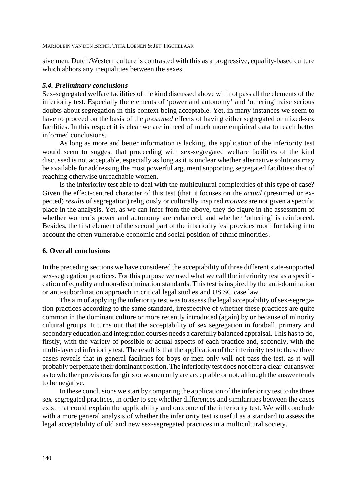sive men. Dutch/Western culture is contrasted with this as a progressive, equality-based culture which abhors any inequalities between the sexes.

# *5.4. Preliminary conclusions*

Sex-segregated welfare facilities of the kind discussed above will not pass all the elements of the inferiority test. Especially the elements of 'power and autonomy' and 'othering' raise serious doubts about segregation in this context being acceptable. Yet, in many instances we seem to have to proceed on the basis of the *presumed* effects of having either segregated or mixed-sex facilities. In this respect it is clear we are in need of much more empirical data to reach better informed conclusions.

As long as more and better information is lacking, the application of the inferiority test would seem to suggest that proceeding with sex-segregated welfare facilities of the kind discussed is not acceptable, especially as long as it is unclear whether alternative solutions may be available for addressing the most powerful argument supporting segregated facilities: that of reaching otherwise unreachable women.

Is the inferiority test able to deal with the multicultural complexities of this type of case? Given the effect-centred character of this test (that it focuses on the *actual* (presumed or expected) *results* of segregation) religiously or culturally inspired *motives* are not given a specific place in the analysis. Yet, as we can infer from the above, they do figure in the assessment of whether women's power and autonomy are enhanced, and whether 'othering' is reinforced. Besides, the first element of the second part of the inferiority test provides room for taking into account the often vulnerable economic and social position of ethnic minorities.

# **6. Overall conclusions**

In the preceding sections we have considered the acceptability of three different state-supported sex-segregation practices. For this purpose we used what we call the inferiority test as a specification of equality and non-discrimination standards. This test is inspired by the anti-domination or anti-subordination approach in critical legal studies and US SC case law.

The aim of applying the inferiority test was to assess the legal acceptability of sex-segregation practices according to the same standard, irrespective of whether these practices are quite common in the dominant culture or more recently introduced (again) by or because of minority cultural groups. It turns out that the acceptability of sex segregation in football, primary and secondary education and integration courses needs a carefully balanced appraisal. This has to do, firstly, with the variety of possible or actual aspects of each practice and, secondly, with the multi-layered inferiority test. The result is that the application of the inferiority test to these three cases reveals that in general facilities for boys or men only will not pass the test, as it will probably perpetuate their dominant position. The inferiority test does not offer a clear-cut answer as to whether provisions for girls or women only are acceptable or not, although the answer tends to be negative.

In these conclusions we start by comparing the application of the inferiority test to the three sex-segregated practices, in order to see whether differences and similarities between the cases exist that could explain the applicability and outcome of the inferiority test. We will conclude with a more general analysis of whether the inferiority test is useful as a standard to assess the legal acceptability of old and new sex-segregated practices in a multicultural society.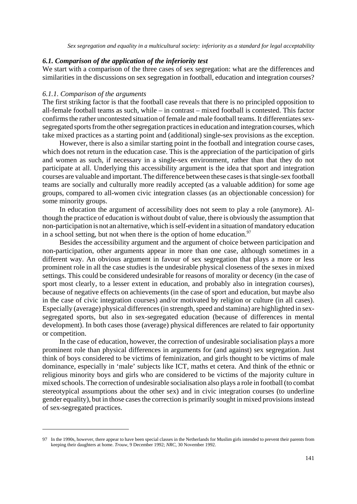# *6.1. Comparison of the application of the inferiority test*

We start with a comparison of the three cases of sex segregation: what are the differences and similarities in the discussions on sex segregation in football, education and integration courses?

## *6.1.1. Comparison of the arguments*

The first striking factor is that the football case reveals that there is no principled opposition to all-female football teams as such, while – in contrast – mixed football is contested. This factor confirms the rather uncontested situation of female and male football teams. It differentiates sexsegregated sports from the other segregation practices in education and integration courses, which take mixed practices as a starting point and (additional) single-sex provisions as the exception.

However, there is also a similar starting point in the football and integration course cases, which does not return in the education case. This is the appreciation of the participation of girls and women as such, if necessary in a single-sex environment, rather than that they do not participate at all. Underlying this accessibility argument is the idea that sport and integration courses are valuable and important. The difference between these cases is that single-sex football teams are socially and culturally more readily accepted (as a valuable addition) for some age groups, compared to all-women civic integration classes (as an objectionable concession) for some minority groups.

In education the argument of accessibility does not seem to play a role (anymore). Although the practice of education is without doubt of value, there is obviously the assumption that non-participation is not an alternative, which is self-evident in a situation of mandatory education in a school setting, but not when there is the option of home education.<sup>97</sup>

Besides the accessibility argument and the argument of choice between participation and non-participation, other arguments appear in more than one case, although sometimes in a different way. An obvious argument in favour of sex segregation that plays a more or less prominent role in all the case studies is the undesirable physical closeness of the sexes in mixed settings. This could be considered undesirable for reasons of morality or decency (in the case of sport most clearly, to a lesser extent in education, and probably also in integration courses), because of negative effects on achievements (in the case of sport and education, but maybe also in the case of civic integration courses) and/or motivated by religion or culture (in all cases). Especially (average) physical differences (in strength, speed and stamina) are highlighted in sexsegregated sports, but also in sex-segregated education (because of differences in mental development). In both cases those (average) physical differences are related to fair opportunity or competition.

In the case of education, however, the correction of undesirable socialisation plays a more prominent role than physical differences in arguments for (and against) sex segregation. Just think of boys considered to be victims of feminization, and girls thought to be victims of male dominance, especially in 'male' subjects like ICT, maths et cetera. And think of the ethnic or religious minority boys and girls who are considered to be victims of the majority culture in mixed schools. The correction of undesirable socialisation also plays a role in football (to combat stereotypical assumptions about the other sex) and in civic integration courses (to underline gender equality), but in those cases the correction is primarily sought in mixed provisions instead of sex-segregated practices.

<sup>97</sup> In the 1990s, however, there appear to have been special classes in the Netherlands for Muslim girls intended to prevent their parents from keeping their daughters at home. *Trouw*, 9 December 1992; *NRC*, 30 November 1992.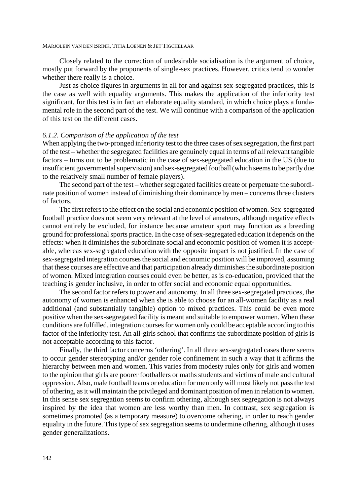Closely related to the correction of undesirable socialisation is the argument of choice, mostly put forward by the proponents of single-sex practices. However, critics tend to wonder whether there really is a choice.

Just as choice figures in arguments in all for and against sex-segregated practices, this is the case as well with equality arguments. This makes the application of the inferiority test significant, for this test is in fact an elaborate equality standard, in which choice plays a fundamental role in the second part of the test. We will continue with a comparison of the application of this test on the different cases.

# *6.1.2. Comparison of the application of the test*

When applying the two-pronged inferiority test to the three cases of sex segregation, the first part of the test – whether the segregated facilities are genuinely equal in terms of all relevant tangible factors – turns out to be problematic in the case of sex-segregated education in the US (due to insufficient governmental supervision) and sex-segregated football (which seems to be partly due to the relatively small number of female players).

The second part of the test – whether segregated facilities create or perpetuate the subordinate position of women instead of diminishing their dominance by men – concerns three clusters of factors.

The first refers to the effect on the social and economic position of women. Sex-segregated football practice does not seem very relevant at the level of amateurs, although negative effects cannot entirely be excluded, for instance because amateur sport may function as a breeding ground for professional sports practice. In the case of sex-segregated education it depends on the effects: when it diminishes the subordinate social and economic position of women it is acceptable, whereas sex-segregated education with the opposite impact is not justified. In the case of sex-segregated integration courses the social and economic position will be improved, assuming that these courses are effective and that participation already diminishes the subordinate position of women. Mixed integration courses could even be better, as is co-education, provided that the teaching is gender inclusive, in order to offer social and economic equal opportunities.

The second factor refers to power and autonomy. In all three sex-segregated practices, the autonomy of women is enhanced when she is able to choose for an all-women facility as a real additional (and substantially tangible) option to mixed practices. This could be even more positive when the sex-segregated facility is meant and suitable to empower women. When these conditions are fulfilled, integration courses for women only could be acceptable according to this factor of the inferiority test. An all-girls school that confirms the subordinate position of girls is not acceptable according to this factor.

Finally, the third factor concerns 'othering'. In all three sex-segregated cases there seems to occur gender stereotyping and/or gender role confinement in such a way that it affirms the hierarchy between men and women. This varies from modesty rules only for girls and women to the opinion that girls are poorer footballers or maths students and victims of male and cultural oppression. Also, male football teams or education for men only will most likely not pass the test of othering, as it will maintain the privileged and dominant position of men in relation to women. In this sense sex segregation seems to confirm othering, although sex segregation is not always inspired by the idea that women are less worthy than men. In contrast, sex segregation is sometimes promoted (as a temporary measure) to overcome othering, in order to reach gender equality in the future. This type of sex segregation seems to undermine othering, although it uses gender generalizations.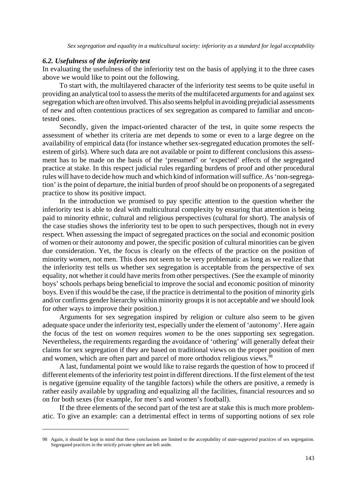# *6.2. Usefulness of the inferiority test*

In evaluating the usefulness of the inferiority test on the basis of applying it to the three cases above we would like to point out the following.

To start with, the multilayered character of the inferiority test seems to be quite useful in providing an analytical tool to assess the merits of the multifaceted arguments for and against sex segregation which are often involved. This also seems helpful in avoiding prejudicial assessments of new and often contentious practices of sex segregation as compared to familiar and uncontested ones.

Secondly, given the impact-oriented character of the test, in quite some respects the assessment of whether its criteria are met depends to some or even to a large degree on the availability of empirical data (for instance whether sex-segregated education promotes the selfesteem of girls). Where such data are not available or point to different conclusions this assessment has to be made on the basis of the 'presumed' or 'expected' effects of the segregated practice at stake. In this respect judicial rules regarding burdens of proof and other procedural rules will have to decide how much and which kind of information will suffice. As 'non-segregation' is the point of departure, the initial burden of proof should be on proponents of a segregated practice to show its positive impact.

In the introduction we promised to pay specific attention to the question whether the inferiority test is able to deal with multicultural complexity by ensuring that attention is being paid to minority ethnic, cultural and religious perspectives (cultural for short). The analysis of the case studies shows the inferiority test to be open to such perspectives, though not in every respect. When assessing the impact of segregated practices on the social and economic position of women or their autonomy and power, the specific position of cultural minorities can be given due consideration. Yet, the focus is clearly on the effects of the practice on the position of minority *women*, not men. This does not seem to be very problematic as long as we realize that the inferiority test tells us whether sex segregation is acceptable from the perspective of sex equality, not whether it could have merits from other perspectives. (See the example of minority boys' schools perhaps being beneficial to improve the social and economic position of minority boys. Even if this would be the case, if the practice is detrimental to the position of minority girls and/or confirms gender hierarchy within minority groups it is not acceptable and we should look for other ways to improve their position.)

Arguments for sex segregation inspired by religion or culture also seem to be given adequate space under the inferiority test, especially under the element of 'autonomy'. Here again the focus of the test on *women* requires *women* to be the ones supporting sex segregation. Nevertheless, the requirements regarding the avoidance of 'othering' will generally defeat their claims for sex segregation if they are based on traditional views on the proper position of men and women, which are often part and parcel of more orthodox religious views.<sup>98</sup>

A last, fundamental point we would like to raise regards the question of how to proceed if different elements of the inferiority test point in different directions. If the first element of the test is negative (genuine equality of the tangible factors) while the others are positive, a remedy is rather easily available by upgrading and equalizing all the facilities, financial resources and so on for both sexes (for example, for men's and women's football).

If the three elements of the second part of the test are at stake this is much more problematic. To give an example: can a detrimental effect in terms of supporting notions of sex role

<sup>98</sup> Again, it should be kept in mind that these conclusions are limited to the acceptability of *state-supported* practices of sex segregation. Segregated practices in the strictly private sphere are left aside.